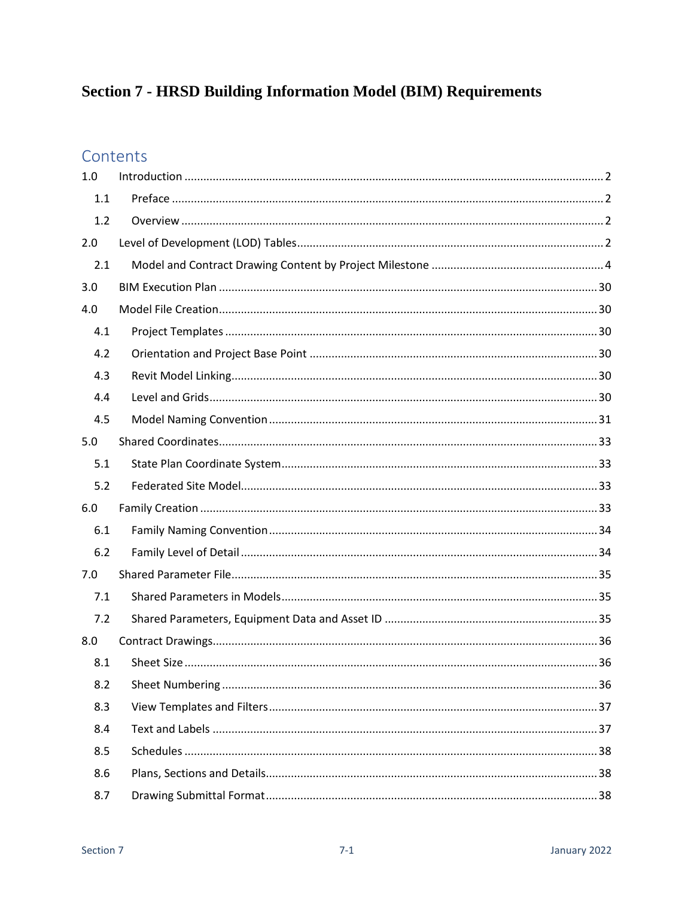# **Section 7 - HRSD Building Information Model (BIM) Requirements**

# Contents

| 1.0 |  |
|-----|--|
| 1.1 |  |
| 1.2 |  |
| 2.0 |  |
| 2.1 |  |
| 3.0 |  |
| 4.0 |  |
| 4.1 |  |
| 4.2 |  |
| 4.3 |  |
| 4.4 |  |
| 4.5 |  |
| 5.0 |  |
| 5.1 |  |
| 5.2 |  |
| 6.0 |  |
| 6.1 |  |
| 6.2 |  |
| 7.0 |  |
| 7.1 |  |
| 7.2 |  |
| 8.0 |  |
| 8.1 |  |
| 8.2 |  |
| 8.3 |  |
| 8.4 |  |
| 8.5 |  |
| 8.6 |  |
| 8.7 |  |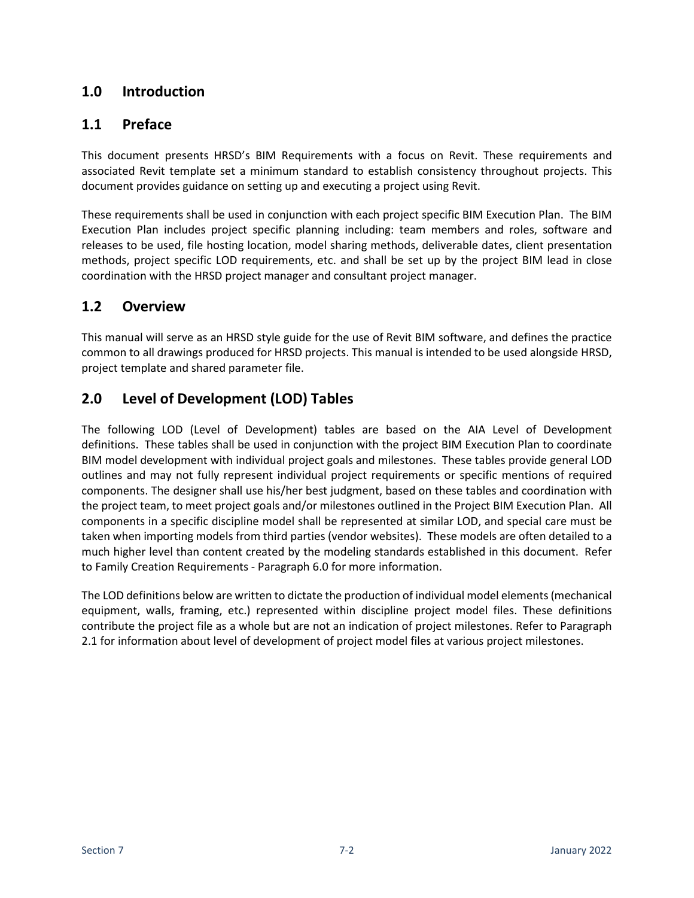### <span id="page-1-0"></span>**1.0 Introduction**

### <span id="page-1-1"></span>**1.1 Preface**

This document presents HRSD's BIM Requirements with a focus on Revit. These requirements and associated Revit template set a minimum standard to establish consistency throughout projects. This document provides guidance on setting up and executing a project using Revit.

These requirements shall be used in conjunction with each project specific BIM Execution Plan. The BIM Execution Plan includes project specific planning including: team members and roles, software and releases to be used, file hosting location, model sharing methods, deliverable dates, client presentation methods, project specific LOD requirements, etc. and shall be set up by the project BIM lead in close coordination with the HRSD project manager and consultant project manager.

### <span id="page-1-2"></span>**1.2 Overview**

This manual will serve as an HRSD style guide for the use of Revit BIM software, and defines the practice common to all drawings produced for HRSD projects. This manual is intended to be used alongside HRSD, project template and shared parameter file.

### <span id="page-1-3"></span>**2.0 Level of Development (LOD) Tables**

The following LOD (Level of Development) tables are based on the AIA Level of Development definitions. These tables shall be used in conjunction with the project BIM Execution Plan to coordinate BIM model development with individual project goals and milestones. These tables provide general LOD outlines and may not fully represent individual project requirements or specific mentions of required components. The designer shall use his/her best judgment, based on these tables and coordination with the project team, to meet project goals and/or milestones outlined in the Project BIM Execution Plan. All components in a specific discipline model shall be represented at similar LOD, and special care must be taken when importing models from third parties (vendor websites). These models are often detailed to a much higher level than content created by the modeling standards established in this document. Refer to Family Creation Requirements - Paragraph 6.0 for more information.

The LOD definitions below are written to dictate the production of individual model elements (mechanical equipment, walls, framing, etc.) represented within discipline project model files. These definitions contribute the project file as a whole but are not an indication of project milestones. Refer to Paragraph 2.1 for information about level of development of project model files at various project milestones.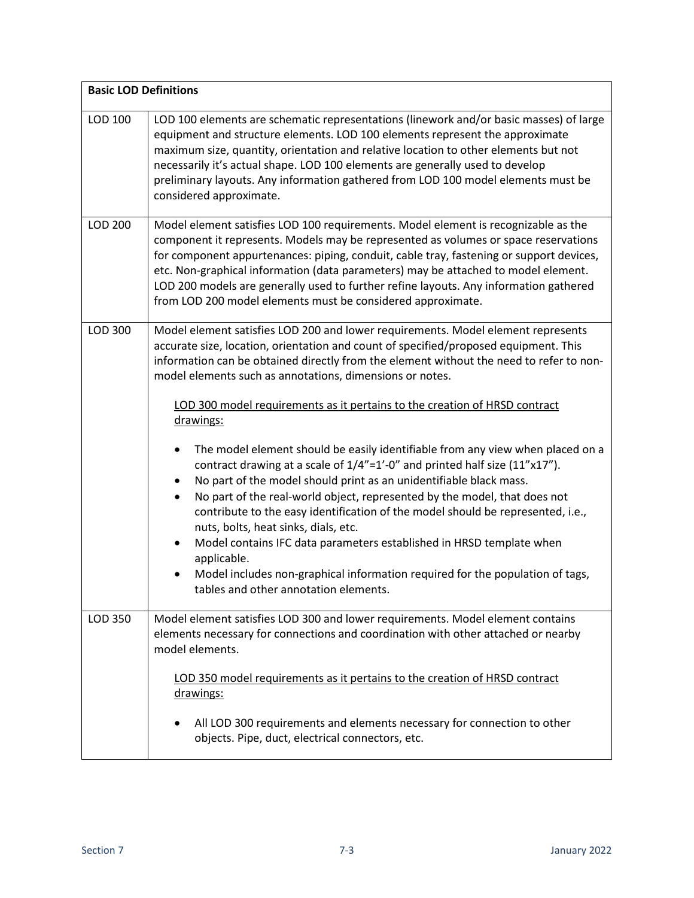| <b>Basic LOD Definitions</b> |                                                                                                                                                                                                                                                                                                                                                                                                                                                                                                                                                                                                                                                                                                                                                                                                                                                                                                                                                                                                                                                                                                                                               |  |
|------------------------------|-----------------------------------------------------------------------------------------------------------------------------------------------------------------------------------------------------------------------------------------------------------------------------------------------------------------------------------------------------------------------------------------------------------------------------------------------------------------------------------------------------------------------------------------------------------------------------------------------------------------------------------------------------------------------------------------------------------------------------------------------------------------------------------------------------------------------------------------------------------------------------------------------------------------------------------------------------------------------------------------------------------------------------------------------------------------------------------------------------------------------------------------------|--|
| LOD 100                      | LOD 100 elements are schematic representations (linework and/or basic masses) of large<br>equipment and structure elements. LOD 100 elements represent the approximate<br>maximum size, quantity, orientation and relative location to other elements but not<br>necessarily it's actual shape. LOD 100 elements are generally used to develop<br>preliminary layouts. Any information gathered from LOD 100 model elements must be<br>considered approximate.                                                                                                                                                                                                                                                                                                                                                                                                                                                                                                                                                                                                                                                                                |  |
| LOD 200                      | Model element satisfies LOD 100 requirements. Model element is recognizable as the<br>component it represents. Models may be represented as volumes or space reservations<br>for component appurtenances: piping, conduit, cable tray, fastening or support devices,<br>etc. Non-graphical information (data parameters) may be attached to model element.<br>LOD 200 models are generally used to further refine layouts. Any information gathered<br>from LOD 200 model elements must be considered approximate.                                                                                                                                                                                                                                                                                                                                                                                                                                                                                                                                                                                                                            |  |
| LOD 300                      | Model element satisfies LOD 200 and lower requirements. Model element represents<br>accurate size, location, orientation and count of specified/proposed equipment. This<br>information can be obtained directly from the element without the need to refer to non-<br>model elements such as annotations, dimensions or notes.<br>LOD 300 model requirements as it pertains to the creation of HRSD contract<br>drawings:<br>The model element should be easily identifiable from any view when placed on a<br>$\bullet$<br>contract drawing at a scale of 1/4"=1'-0" and printed half size (11"x17").<br>No part of the model should print as an unidentifiable black mass.<br>$\bullet$<br>No part of the real-world object, represented by the model, that does not<br>$\bullet$<br>contribute to the easy identification of the model should be represented, i.e.,<br>nuts, bolts, heat sinks, dials, etc.<br>Model contains IFC data parameters established in HRSD template when<br>$\bullet$<br>applicable.<br>Model includes non-graphical information required for the population of tags,<br>tables and other annotation elements. |  |
| LOD 350                      | Model element satisfies LOD 300 and lower requirements. Model element contains<br>elements necessary for connections and coordination with other attached or nearby<br>model elements.<br>LOD 350 model requirements as it pertains to the creation of HRSD contract<br>drawings:                                                                                                                                                                                                                                                                                                                                                                                                                                                                                                                                                                                                                                                                                                                                                                                                                                                             |  |
|                              | All LOD 300 requirements and elements necessary for connection to other<br>objects. Pipe, duct, electrical connectors, etc.                                                                                                                                                                                                                                                                                                                                                                                                                                                                                                                                                                                                                                                                                                                                                                                                                                                                                                                                                                                                                   |  |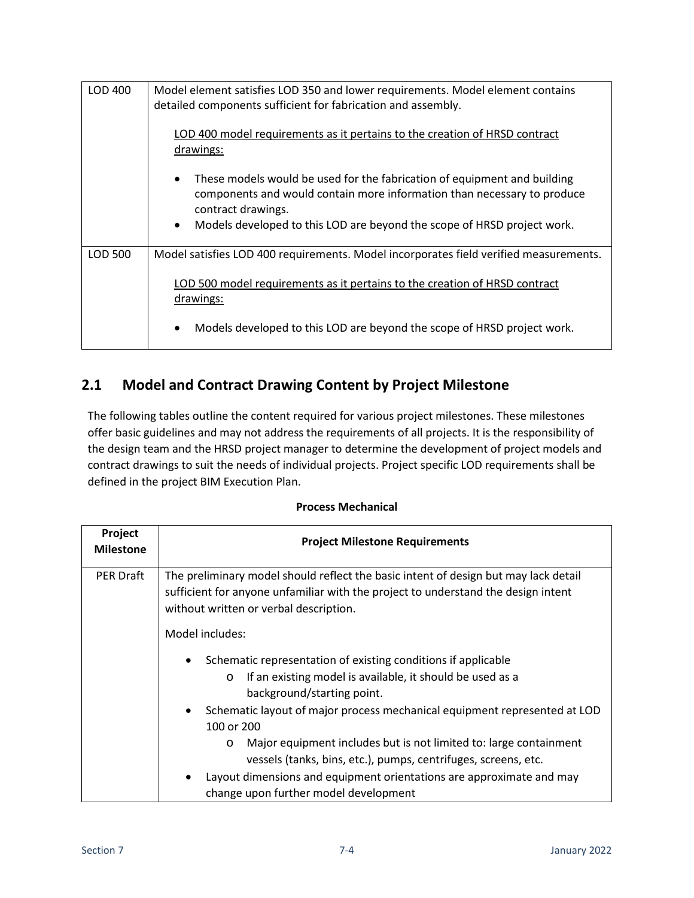| LOD 400 | Model element satisfies LOD 350 and lower requirements. Model element contains<br>detailed components sufficient for fabrication and assembly.                                         |
|---------|----------------------------------------------------------------------------------------------------------------------------------------------------------------------------------------|
|         | LOD 400 model requirements as it pertains to the creation of HRSD contract<br>drawings:                                                                                                |
|         | These models would be used for the fabrication of equipment and building<br>$\bullet$<br>components and would contain more information than necessary to produce<br>contract drawings. |
|         | Models developed to this LOD are beyond the scope of HRSD project work.<br>$\bullet$                                                                                                   |
| LOD 500 | Model satisfies LOD 400 requirements. Model incorporates field verified measurements.                                                                                                  |
|         | LOD 500 model requirements as it pertains to the creation of HRSD contract<br>drawings:                                                                                                |
|         | Models developed to this LOD are beyond the scope of HRSD project work.<br>$\bullet$                                                                                                   |

## <span id="page-3-0"></span>**2.1 Model and Contract Drawing Content by Project Milestone**

The following tables outline the content required for various project milestones. These milestones offer basic guidelines and may not address the requirements of all projects. It is the responsibility of the design team and the HRSD project manager to determine the development of project models and contract drawings to suit the needs of individual projects. Project specific LOD requirements shall be defined in the project BIM Execution Plan.

| Project<br><b>Milestone</b> | <b>Project Milestone Requirements</b>                                                                                                                                                                              |
|-----------------------------|--------------------------------------------------------------------------------------------------------------------------------------------------------------------------------------------------------------------|
| <b>PER Draft</b>            | The preliminary model should reflect the basic intent of design but may lack detail<br>sufficient for anyone unfamiliar with the project to understand the design intent<br>without written or verbal description. |
|                             | Model includes:                                                                                                                                                                                                    |
|                             | Schematic representation of existing conditions if applicable<br>$\bullet$<br>If an existing model is available, it should be used as a<br>$\circ$<br>background/starting point.                                   |
|                             | Schematic layout of major process mechanical equipment represented at LOD<br>$\bullet$<br>100 or 200                                                                                                               |
|                             | Major equipment includes but is not limited to: large containment<br>$\circ$<br>vessels (tanks, bins, etc.), pumps, centrifuges, screens, etc.                                                                     |
|                             | Layout dimensions and equipment orientations are approximate and may<br>change upon further model development                                                                                                      |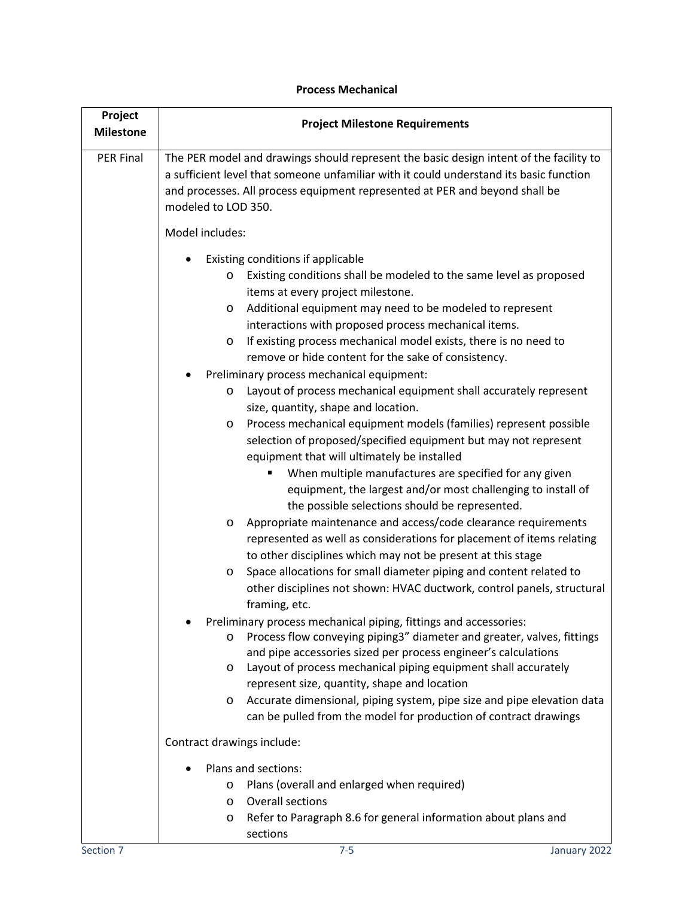| <b>Project Milestone Requirements</b>                                                                                                                                                                                                                                                                                                                                                                                                                                                                                                                                                                                                                                                                                                                                                                                                                                                                                                                                                                                                                                                                                                                                                                                                                                                                                                                                          |
|--------------------------------------------------------------------------------------------------------------------------------------------------------------------------------------------------------------------------------------------------------------------------------------------------------------------------------------------------------------------------------------------------------------------------------------------------------------------------------------------------------------------------------------------------------------------------------------------------------------------------------------------------------------------------------------------------------------------------------------------------------------------------------------------------------------------------------------------------------------------------------------------------------------------------------------------------------------------------------------------------------------------------------------------------------------------------------------------------------------------------------------------------------------------------------------------------------------------------------------------------------------------------------------------------------------------------------------------------------------------------------|
| The PER model and drawings should represent the basic design intent of the facility to<br>a sufficient level that someone unfamiliar with it could understand its basic function<br>and processes. All process equipment represented at PER and beyond shall be<br>modeled to LOD 350.                                                                                                                                                                                                                                                                                                                                                                                                                                                                                                                                                                                                                                                                                                                                                                                                                                                                                                                                                                                                                                                                                         |
| Model includes:                                                                                                                                                                                                                                                                                                                                                                                                                                                                                                                                                                                                                                                                                                                                                                                                                                                                                                                                                                                                                                                                                                                                                                                                                                                                                                                                                                |
| Existing conditions if applicable<br>Existing conditions shall be modeled to the same level as proposed<br>$\circ$<br>items at every project milestone.<br>Additional equipment may need to be modeled to represent<br>$\circ$<br>interactions with proposed process mechanical items.<br>If existing process mechanical model exists, there is no need to<br>$\circ$<br>remove or hide content for the sake of consistency.<br>Preliminary process mechanical equipment:<br>Layout of process mechanical equipment shall accurately represent<br>$\circ$<br>size, quantity, shape and location.<br>Process mechanical equipment models (families) represent possible<br>O<br>selection of proposed/specified equipment but may not represent<br>equipment that will ultimately be installed<br>When multiple manufactures are specified for any given<br>П<br>equipment, the largest and/or most challenging to install of<br>the possible selections should be represented.<br>Appropriate maintenance and access/code clearance requirements<br>$\circ$<br>represented as well as considerations for placement of items relating<br>to other disciplines which may not be present at this stage<br>Space allocations for small diameter piping and content related to<br>$\circ$<br>other disciplines not shown: HVAC ductwork, control panels, structural<br>framing, etc. |
| Preliminary process mechanical piping, fittings and accessories:<br>Process flow conveying piping3" diameter and greater, valves, fittings<br>$\circ$<br>and pipe accessories sized per process engineer's calculations<br>Layout of process mechanical piping equipment shall accurately<br>$\circ$<br>represent size, quantity, shape and location<br>Accurate dimensional, piping system, pipe size and pipe elevation data<br>O<br>can be pulled from the model for production of contract drawings<br>Contract drawings include:<br>Plans and sections:<br>Plans (overall and enlarged when required)<br>$\circ$<br><b>Overall sections</b><br>$\circ$<br>Refer to Paragraph 8.6 for general information about plans and<br>$\circ$                                                                                                                                                                                                                                                                                                                                                                                                                                                                                                                                                                                                                                       |
|                                                                                                                                                                                                                                                                                                                                                                                                                                                                                                                                                                                                                                                                                                                                                                                                                                                                                                                                                                                                                                                                                                                                                                                                                                                                                                                                                                                |

sections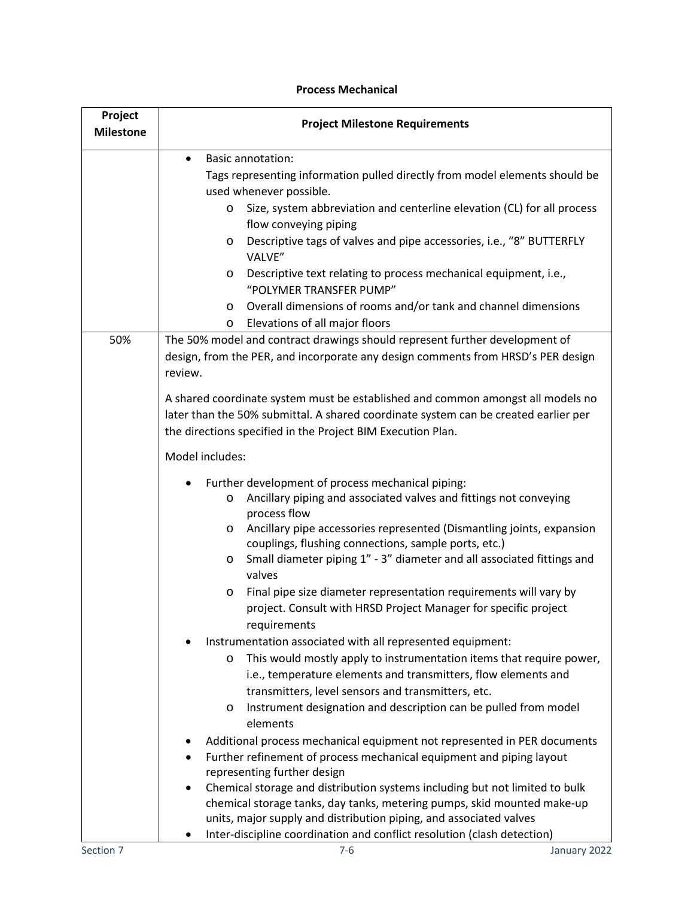| Project<br><b>Milestone</b> | <b>Project Milestone Requirements</b>                                                                                                                                                                                                                                                                                                                                                                                                                                                                                                                                   |
|-----------------------------|-------------------------------------------------------------------------------------------------------------------------------------------------------------------------------------------------------------------------------------------------------------------------------------------------------------------------------------------------------------------------------------------------------------------------------------------------------------------------------------------------------------------------------------------------------------------------|
|                             | <b>Basic annotation:</b><br>$\bullet$<br>Tags representing information pulled directly from model elements should be<br>used whenever possible.<br>Size, system abbreviation and centerline elevation (CL) for all process<br>O<br>flow conveying piping<br>Descriptive tags of valves and pipe accessories, i.e., "8" BUTTERFLY<br>O<br>VALVE"<br>Descriptive text relating to process mechanical equipment, i.e.,<br>O<br>"POLYMER TRANSFER PUMP"<br>Overall dimensions of rooms and/or tank and channel dimensions<br>O<br>Elevations of all major floors<br>$\circ$ |
| 50%                         | The 50% model and contract drawings should represent further development of<br>design, from the PER, and incorporate any design comments from HRSD's PER design<br>review.                                                                                                                                                                                                                                                                                                                                                                                              |
|                             | A shared coordinate system must be established and common amongst all models no<br>later than the 50% submittal. A shared coordinate system can be created earlier per<br>the directions specified in the Project BIM Execution Plan.                                                                                                                                                                                                                                                                                                                                   |
|                             | Model includes:                                                                                                                                                                                                                                                                                                                                                                                                                                                                                                                                                         |
|                             | Further development of process mechanical piping:<br>Ancillary piping and associated valves and fittings not conveying<br>$\circ$<br>process flow<br>Ancillary pipe accessories represented (Dismantling joints, expansion<br>O<br>couplings, flushing connections, sample ports, etc.)<br>Small diameter piping 1" - 3" diameter and all associated fittings and<br>O<br>valves                                                                                                                                                                                        |
|                             | Final pipe size diameter representation requirements will vary by<br>O<br>project. Consult with HRSD Project Manager for specific project<br>requirements                                                                                                                                                                                                                                                                                                                                                                                                               |
|                             | Instrumentation associated with all represented equipment:<br>This would mostly apply to instrumentation items that require power,<br>O<br>i.e., temperature elements and transmitters, flow elements and<br>transmitters, level sensors and transmitters, etc.<br>Instrument designation and description can be pulled from model<br>O<br>elements                                                                                                                                                                                                                     |
|                             | Additional process mechanical equipment not represented in PER documents<br>Further refinement of process mechanical equipment and piping layout<br>representing further design<br>Chemical storage and distribution systems including but not limited to bulk<br>chemical storage tanks, day tanks, metering pumps, skid mounted make-up<br>units, major supply and distribution piping, and associated valves<br>Inter-discipline coordination and conflict resolution (clash detection)                                                                              |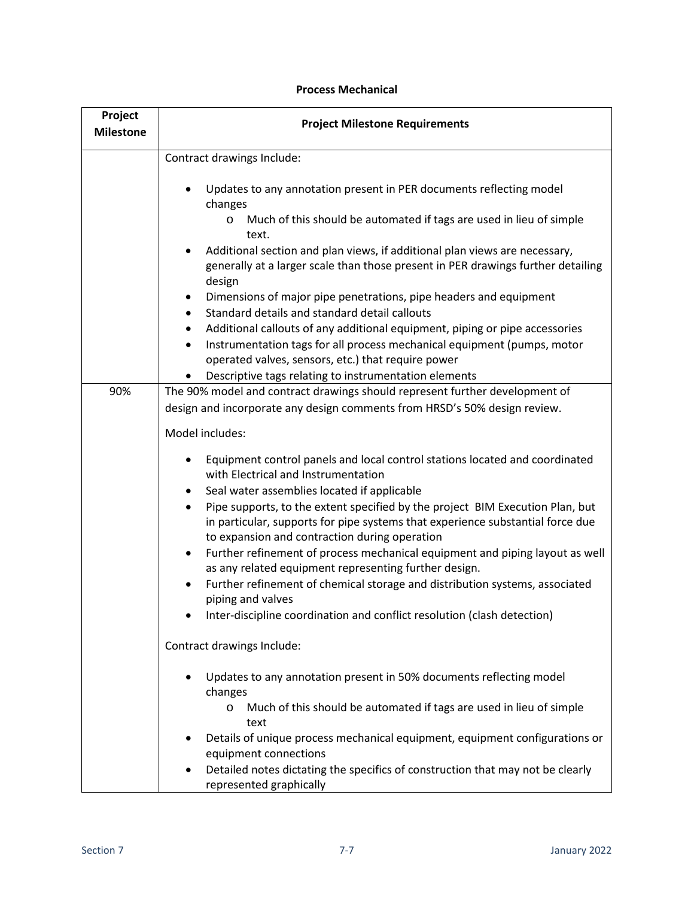| Project<br><b>Milestone</b> | <b>Project Milestone Requirements</b>                                                                                                                                                                                                  |
|-----------------------------|----------------------------------------------------------------------------------------------------------------------------------------------------------------------------------------------------------------------------------------|
|                             | Contract drawings Include:                                                                                                                                                                                                             |
|                             | Updates to any annotation present in PER documents reflecting model<br>changes                                                                                                                                                         |
|                             | Much of this should be automated if tags are used in lieu of simple<br>O<br>text.                                                                                                                                                      |
|                             | Additional section and plan views, if additional plan views are necessary,<br>generally at a larger scale than those present in PER drawings further detailing<br>design                                                               |
|                             | Dimensions of major pipe penetrations, pipe headers and equipment<br>٠<br>Standard details and standard detail callouts<br>$\bullet$                                                                                                   |
|                             | Additional callouts of any additional equipment, piping or pipe accessories<br>$\bullet$<br>Instrumentation tags for all process mechanical equipment (pumps, motor<br>$\bullet$<br>operated valves, sensors, etc.) that require power |
|                             | Descriptive tags relating to instrumentation elements                                                                                                                                                                                  |
| 90%                         | The 90% model and contract drawings should represent further development of<br>design and incorporate any design comments from HRSD's 50% design review.                                                                               |
|                             | Model includes:                                                                                                                                                                                                                        |
|                             | Equipment control panels and local control stations located and coordinated<br>$\bullet$<br>with Electrical and Instrumentation                                                                                                        |
|                             | Seal water assemblies located if applicable<br>٠                                                                                                                                                                                       |
|                             | Pipe supports, to the extent specified by the project BIM Execution Plan, but<br>in particular, supports for pipe systems that experience substantial force due<br>to expansion and contraction during operation                       |
|                             | Further refinement of process mechanical equipment and piping layout as well<br>$\bullet$<br>as any related equipment representing further design.                                                                                     |
|                             | Further refinement of chemical storage and distribution systems, associated<br>$\bullet$<br>piping and valves                                                                                                                          |
|                             | Inter-discipline coordination and conflict resolution (clash detection)                                                                                                                                                                |
|                             | Contract drawings Include:                                                                                                                                                                                                             |
|                             | Updates to any annotation present in 50% documents reflecting model<br>changes                                                                                                                                                         |
|                             | Much of this should be automated if tags are used in lieu of simple<br>O<br>text                                                                                                                                                       |
|                             | Details of unique process mechanical equipment, equipment configurations or<br>equipment connections                                                                                                                                   |
|                             | Detailed notes dictating the specifics of construction that may not be clearly<br>represented graphically                                                                                                                              |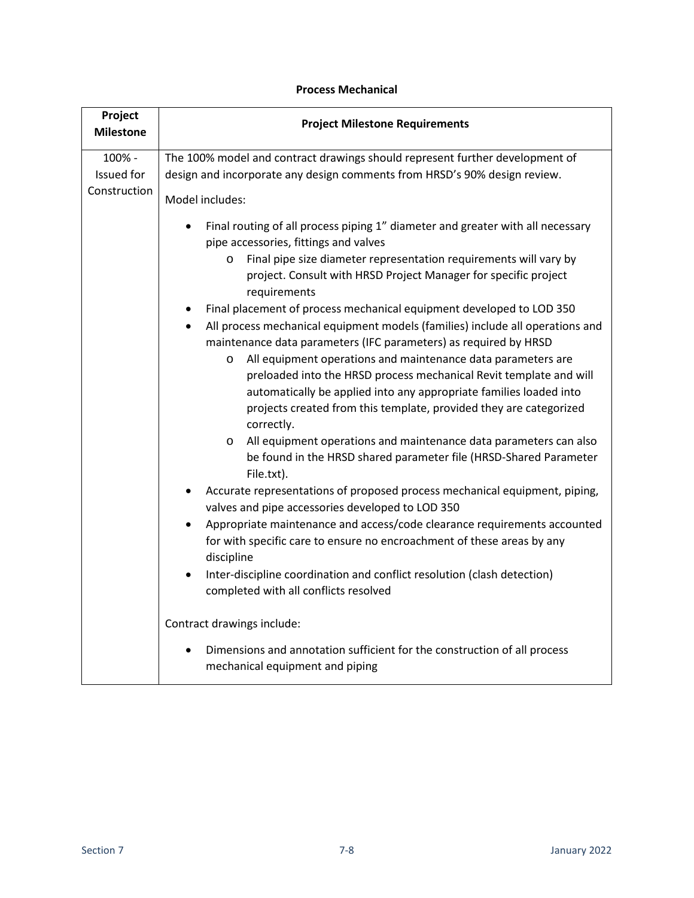| Project<br><b>Milestone</b> | <b>Project Milestone Requirements</b>                                                                                                                                                                                                                                                                   |
|-----------------------------|---------------------------------------------------------------------------------------------------------------------------------------------------------------------------------------------------------------------------------------------------------------------------------------------------------|
| 100% -                      | The 100% model and contract drawings should represent further development of                                                                                                                                                                                                                            |
| Issued for                  | design and incorporate any design comments from HRSD's 90% design review.                                                                                                                                                                                                                               |
| Construction                | Model includes:                                                                                                                                                                                                                                                                                         |
|                             | Final routing of all process piping 1" diameter and greater with all necessary<br>pipe accessories, fittings and valves                                                                                                                                                                                 |
|                             | Final pipe size diameter representation requirements will vary by<br>$\circ$<br>project. Consult with HRSD Project Manager for specific project<br>requirements                                                                                                                                         |
|                             | Final placement of process mechanical equipment developed to LOD 350<br>All process mechanical equipment models (families) include all operations and<br>maintenance data parameters (IFC parameters) as required by HRSD                                                                               |
|                             | All equipment operations and maintenance data parameters are<br>$\circ$<br>preloaded into the HRSD process mechanical Revit template and will<br>automatically be applied into any appropriate families loaded into<br>projects created from this template, provided they are categorized<br>correctly. |
|                             | All equipment operations and maintenance data parameters can also<br>$\circ$<br>be found in the HRSD shared parameter file (HRSD-Shared Parameter<br>File.txt).                                                                                                                                         |
|                             | Accurate representations of proposed process mechanical equipment, piping,<br>valves and pipe accessories developed to LOD 350                                                                                                                                                                          |
|                             | Appropriate maintenance and access/code clearance requirements accounted<br>$\bullet$<br>for with specific care to ensure no encroachment of these areas by any<br>discipline                                                                                                                           |
|                             | Inter-discipline coordination and conflict resolution (clash detection)<br>$\bullet$<br>completed with all conflicts resolved                                                                                                                                                                           |
|                             | Contract drawings include:                                                                                                                                                                                                                                                                              |
|                             | Dimensions and annotation sufficient for the construction of all process<br>mechanical equipment and piping                                                                                                                                                                                             |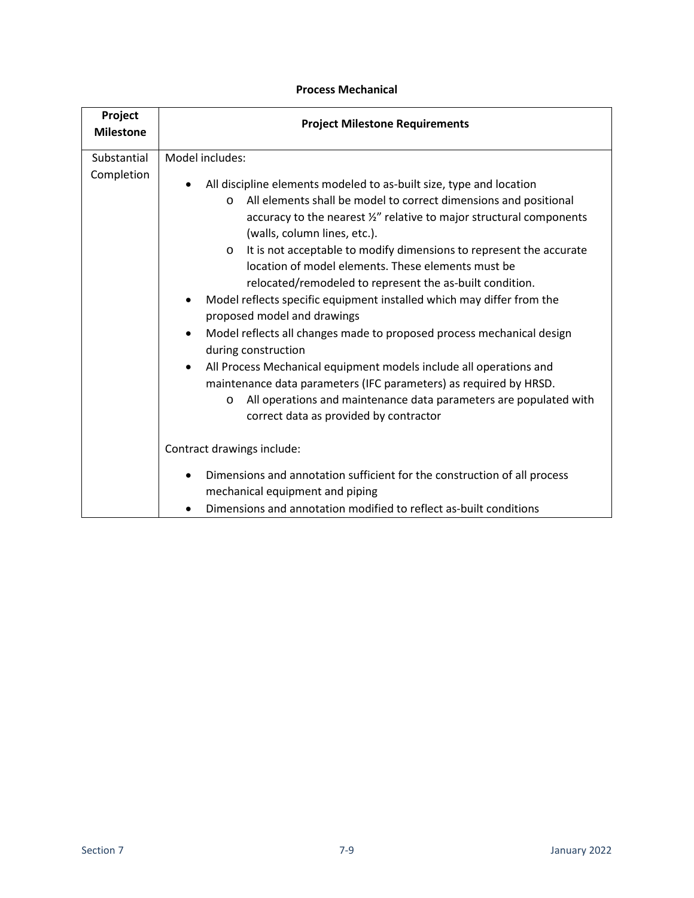| Project<br><b>Milestone</b> | <b>Project Milestone Requirements</b>                                                                                                                                                                                                                                                                                                                                                                                                                                                                                                                                                                                                                                                                                                                                                                                                                                                                                              |
|-----------------------------|------------------------------------------------------------------------------------------------------------------------------------------------------------------------------------------------------------------------------------------------------------------------------------------------------------------------------------------------------------------------------------------------------------------------------------------------------------------------------------------------------------------------------------------------------------------------------------------------------------------------------------------------------------------------------------------------------------------------------------------------------------------------------------------------------------------------------------------------------------------------------------------------------------------------------------|
| Substantial<br>Completion   | Model includes:<br>All discipline elements modeled to as-built size, type and location<br>All elements shall be model to correct dimensions and positional<br>$\Omega$<br>accuracy to the nearest 1/2" relative to major structural components<br>(walls, column lines, etc.).<br>It is not acceptable to modify dimensions to represent the accurate<br>$\circ$<br>location of model elements. These elements must be<br>relocated/remodeled to represent the as-built condition.<br>Model reflects specific equipment installed which may differ from the<br>proposed model and drawings<br>Model reflects all changes made to proposed process mechanical design<br>during construction<br>All Process Mechanical equipment models include all operations and<br>$\bullet$<br>maintenance data parameters (IFC parameters) as required by HRSD.<br>All operations and maintenance data parameters are populated with<br>$\circ$ |
|                             | correct data as provided by contractor<br>Contract drawings include:<br>Dimensions and annotation sufficient for the construction of all process<br>mechanical equipment and piping<br>Dimensions and annotation modified to reflect as-built conditions                                                                                                                                                                                                                                                                                                                                                                                                                                                                                                                                                                                                                                                                           |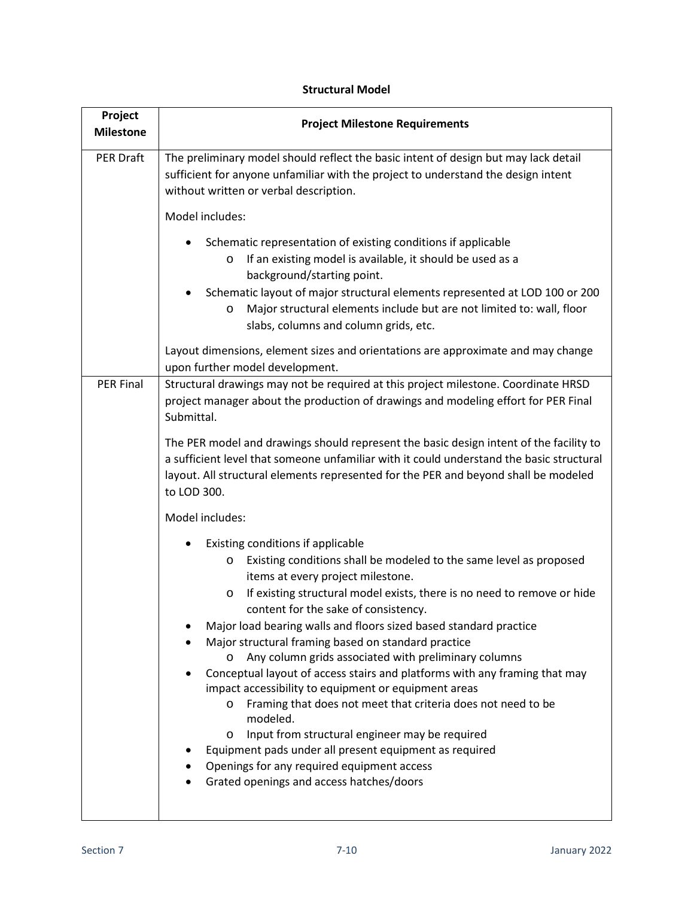| Project<br><b>Milestone</b> | <b>Project Milestone Requirements</b>                                                                                                                                                                                                                                                                                                                                                                                                                                                                                                                                                                                                                                                                                                                                                                                                                                                                            |
|-----------------------------|------------------------------------------------------------------------------------------------------------------------------------------------------------------------------------------------------------------------------------------------------------------------------------------------------------------------------------------------------------------------------------------------------------------------------------------------------------------------------------------------------------------------------------------------------------------------------------------------------------------------------------------------------------------------------------------------------------------------------------------------------------------------------------------------------------------------------------------------------------------------------------------------------------------|
| <b>PER Draft</b>            | The preliminary model should reflect the basic intent of design but may lack detail<br>sufficient for anyone unfamiliar with the project to understand the design intent<br>without written or verbal description.                                                                                                                                                                                                                                                                                                                                                                                                                                                                                                                                                                                                                                                                                               |
|                             | Model includes:                                                                                                                                                                                                                                                                                                                                                                                                                                                                                                                                                                                                                                                                                                                                                                                                                                                                                                  |
|                             | Schematic representation of existing conditions if applicable<br>If an existing model is available, it should be used as a<br>O<br>background/starting point.<br>Schematic layout of major structural elements represented at LOD 100 or 200<br>Major structural elements include but are not limited to: wall, floor<br>O<br>slabs, columns and column grids, etc.                                                                                                                                                                                                                                                                                                                                                                                                                                                                                                                                              |
|                             | Layout dimensions, element sizes and orientations are approximate and may change<br>upon further model development.                                                                                                                                                                                                                                                                                                                                                                                                                                                                                                                                                                                                                                                                                                                                                                                              |
| <b>PER Final</b>            | Structural drawings may not be required at this project milestone. Coordinate HRSD<br>project manager about the production of drawings and modeling effort for PER Final<br>Submittal.                                                                                                                                                                                                                                                                                                                                                                                                                                                                                                                                                                                                                                                                                                                           |
|                             | The PER model and drawings should represent the basic design intent of the facility to<br>a sufficient level that someone unfamiliar with it could understand the basic structural<br>layout. All structural elements represented for the PER and beyond shall be modeled<br>to LOD 300.                                                                                                                                                                                                                                                                                                                                                                                                                                                                                                                                                                                                                         |
|                             | Model includes:                                                                                                                                                                                                                                                                                                                                                                                                                                                                                                                                                                                                                                                                                                                                                                                                                                                                                                  |
|                             | Existing conditions if applicable<br>Existing conditions shall be modeled to the same level as proposed<br>O<br>items at every project milestone.<br>If existing structural model exists, there is no need to remove or hide<br>$\circ$<br>content for the sake of consistency.<br>Major load bearing walls and floors sized based standard practice<br>Major structural framing based on standard practice<br>Any column grids associated with preliminary columns<br>$\circ$<br>Conceptual layout of access stairs and platforms with any framing that may<br>impact accessibility to equipment or equipment areas<br>Framing that does not meet that criteria does not need to be<br>O<br>modeled.<br>Input from structural engineer may be required<br>O<br>Equipment pads under all present equipment as required<br>Openings for any required equipment access<br>Grated openings and access hatches/doors |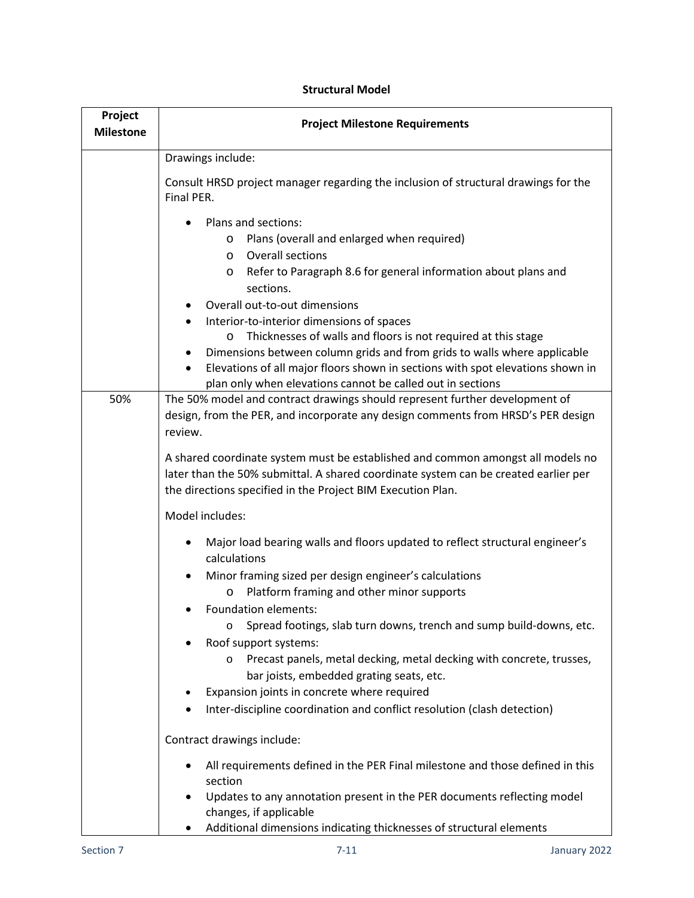| Project<br><b>Milestone</b> | <b>Project Milestone Requirements</b>                                                                                                                                                                                                                                                                                                               |
|-----------------------------|-----------------------------------------------------------------------------------------------------------------------------------------------------------------------------------------------------------------------------------------------------------------------------------------------------------------------------------------------------|
|                             | Drawings include:                                                                                                                                                                                                                                                                                                                                   |
|                             | Consult HRSD project manager regarding the inclusion of structural drawings for the<br>Final PER.                                                                                                                                                                                                                                                   |
|                             | Plans and sections:<br>Plans (overall and enlarged when required)<br>O<br>Overall sections<br>$\circ$<br>Refer to Paragraph 8.6 for general information about plans and<br>O<br>sections.<br>Overall out-to-out dimensions<br>Interior-to-interior dimensions of spaces<br>Thicknesses of walls and floors is not required at this stage<br>$\circ$ |
|                             | Dimensions between column grids and from grids to walls where applicable<br>Elevations of all major floors shown in sections with spot elevations shown in<br>$\bullet$<br>plan only when elevations cannot be called out in sections                                                                                                               |
| 50%                         | The 50% model and contract drawings should represent further development of<br>design, from the PER, and incorporate any design comments from HRSD's PER design<br>review.                                                                                                                                                                          |
|                             | A shared coordinate system must be established and common amongst all models no<br>later than the 50% submittal. A shared coordinate system can be created earlier per<br>the directions specified in the Project BIM Execution Plan.                                                                                                               |
|                             | Model includes:                                                                                                                                                                                                                                                                                                                                     |
|                             | Major load bearing walls and floors updated to reflect structural engineer's<br>٠<br>calculations                                                                                                                                                                                                                                                   |
|                             | Minor framing sized per design engineer's calculations<br>$\bullet$<br>Platform framing and other minor supports<br>$\circ$                                                                                                                                                                                                                         |
|                             | <b>Foundation elements:</b><br>Spread footings, slab turn downs, trench and sump build-downs, etc.<br>$\circ$<br>Roof support systems:<br>Precast panels, metal decking, metal decking with concrete, trusses,<br>$\circ$                                                                                                                           |
|                             | bar joists, embedded grating seats, etc.<br>Expansion joints in concrete where required                                                                                                                                                                                                                                                             |
|                             | Inter-discipline coordination and conflict resolution (clash detection)                                                                                                                                                                                                                                                                             |
|                             | Contract drawings include:                                                                                                                                                                                                                                                                                                                          |
|                             | All requirements defined in the PER Final milestone and those defined in this<br>٠<br>section                                                                                                                                                                                                                                                       |
|                             | Updates to any annotation present in the PER documents reflecting model<br>٠<br>changes, if applicable<br>Additional dimensions indicating thicknesses of structural elements                                                                                                                                                                       |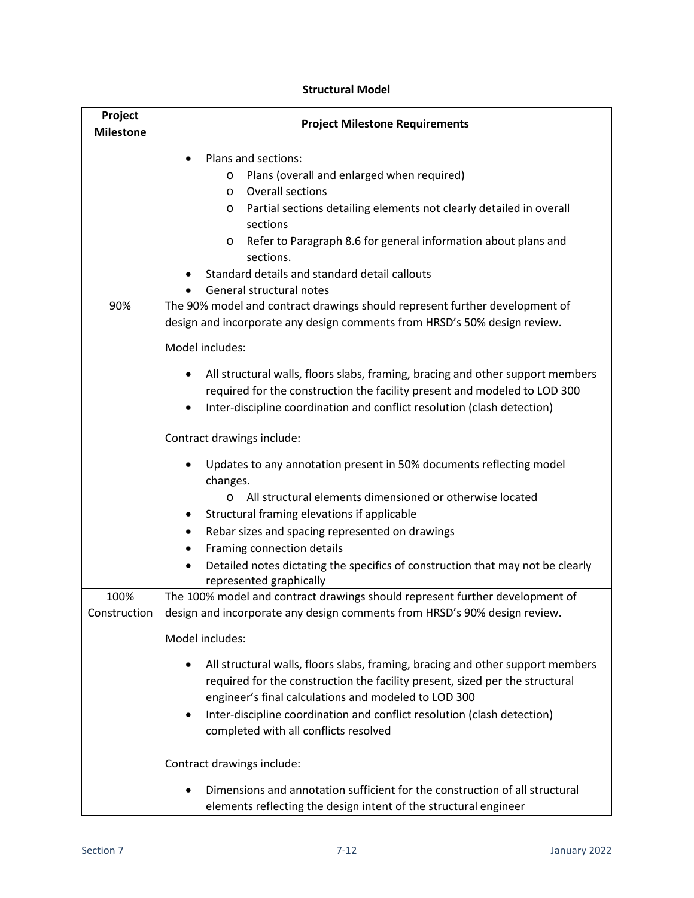| Project<br><b>Milestone</b> | <b>Project Milestone Requirements</b>                                                                                                                                                                                                                                                                                                           |
|-----------------------------|-------------------------------------------------------------------------------------------------------------------------------------------------------------------------------------------------------------------------------------------------------------------------------------------------------------------------------------------------|
|                             | Plans and sections:<br>$\bullet$<br>Plans (overall and enlarged when required)<br>O<br>Overall sections<br>$\circ$<br>Partial sections detailing elements not clearly detailed in overall<br>O<br>sections                                                                                                                                      |
|                             | Refer to Paragraph 8.6 for general information about plans and<br>O<br>sections.<br>Standard details and standard detail callouts<br>General structural notes                                                                                                                                                                                   |
| 90%                         | The 90% model and contract drawings should represent further development of<br>design and incorporate any design comments from HRSD's 50% design review.<br>Model includes:                                                                                                                                                                     |
|                             | All structural walls, floors slabs, framing, bracing and other support members<br>required for the construction the facility present and modeled to LOD 300<br>Inter-discipline coordination and conflict resolution (clash detection)                                                                                                          |
|                             | Contract drawings include:<br>Updates to any annotation present in 50% documents reflecting model<br>changes.<br>All structural elements dimensioned or otherwise located<br>$\circ$<br>Structural framing elevations if applicable<br>Rebar sizes and spacing represented on drawings<br>٠                                                     |
|                             | Framing connection details<br>Detailed notes dictating the specifics of construction that may not be clearly<br>$\bullet$<br>represented graphically                                                                                                                                                                                            |
| 100%<br>Construction        | The 100% model and contract drawings should represent further development of<br>design and incorporate any design comments from HRSD's 90% design review.<br>Model includes:                                                                                                                                                                    |
|                             | All structural walls, floors slabs, framing, bracing and other support members<br>required for the construction the facility present, sized per the structural<br>engineer's final calculations and modeled to LOD 300<br>Inter-discipline coordination and conflict resolution (clash detection)<br>٠<br>completed with all conflicts resolved |
|                             | Contract drawings include:<br>Dimensions and annotation sufficient for the construction of all structural<br>elements reflecting the design intent of the structural engineer                                                                                                                                                                   |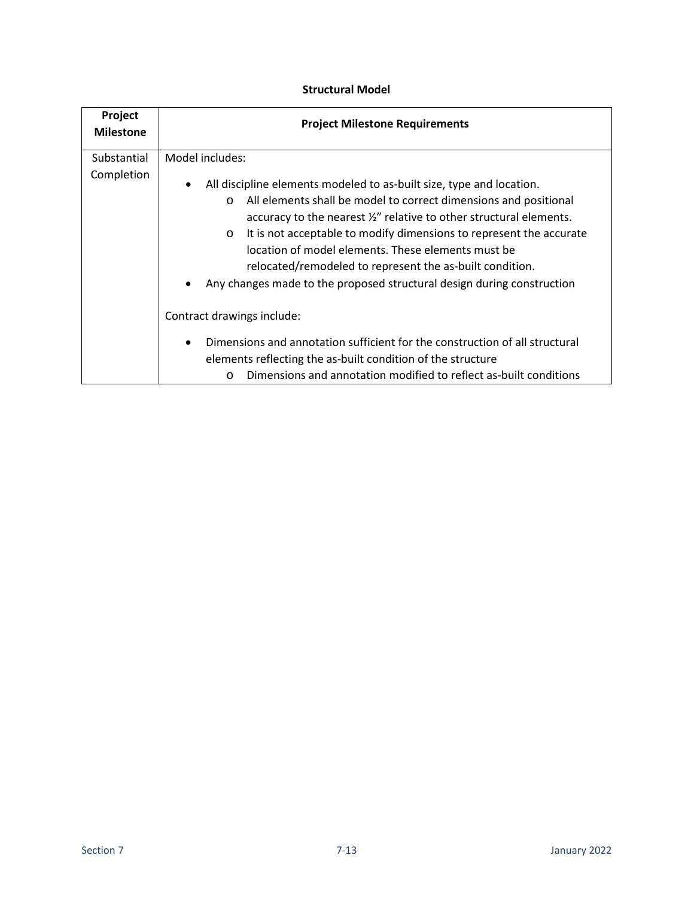| Project<br><b>Milestone</b> | <b>Project Milestone Requirements</b>                                                                                                                                                                                                                                                                                                                                                                                                                                                                                 |
|-----------------------------|-----------------------------------------------------------------------------------------------------------------------------------------------------------------------------------------------------------------------------------------------------------------------------------------------------------------------------------------------------------------------------------------------------------------------------------------------------------------------------------------------------------------------|
| Substantial                 | Model includes:                                                                                                                                                                                                                                                                                                                                                                                                                                                                                                       |
| Completion                  | All discipline elements modeled to as-built size, type and location.<br>$\bullet$<br>All elements shall be model to correct dimensions and positional<br>$\circ$<br>accuracy to the nearest 1/2" relative to other structural elements.<br>It is not acceptable to modify dimensions to represent the accurate<br>$\circ$<br>location of model elements. These elements must be<br>relocated/remodeled to represent the as-built condition.<br>Any changes made to the proposed structural design during construction |
|                             | Contract drawings include:                                                                                                                                                                                                                                                                                                                                                                                                                                                                                            |
|                             | Dimensions and annotation sufficient for the construction of all structural<br>elements reflecting the as-built condition of the structure<br>Dimensions and annotation modified to reflect as-built conditions<br>$\Omega$                                                                                                                                                                                                                                                                                           |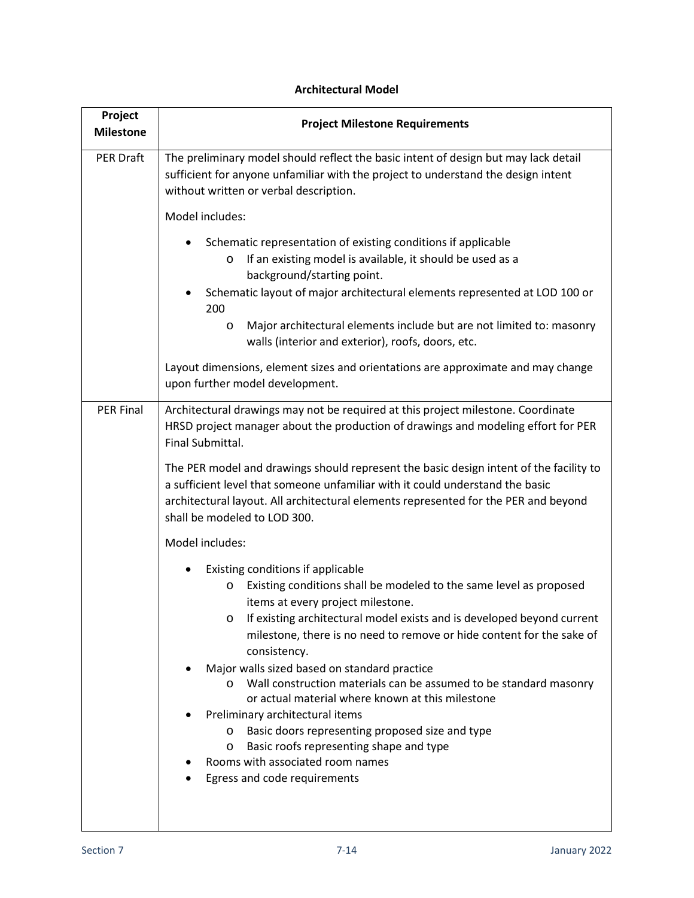# **Project Milestone Project Milestone Requirements** PER Draft The preliminary model should reflect the basic intent of design but may lack detail sufficient for anyone unfamiliar with the project to understand the design intent without written or verbal description. Model includes: • Schematic representation of existing conditions if applicable o If an existing model is available, it should be used as a background/starting point. • Schematic layout of major architectural elements represented at LOD 100 or 200 o Major architectural elements include but are not limited to: masonry walls (interior and exterior), roofs, doors, etc. Layout dimensions, element sizes and orientations are approximate and may change upon further model development. PER Final | Architectural drawings may not be required at this project milestone. Coordinate HRSD project manager about the production of drawings and modeling effort for PER Final Submittal. The PER model and drawings should represent the basic design intent of the facility to a sufficient level that someone unfamiliar with it could understand the basic architectural layout. All architectural elements represented for the PER and beyond shall be modeled to LOD 300. Model includes: • Existing conditions if applicable o Existing conditions shall be modeled to the same level as proposed items at every project milestone. o If existing architectural model exists and is developed beyond current milestone, there is no need to remove or hide content for the sake of consistency. • Major walls sized based on standard practice o Wall construction materials can be assumed to be standard masonry or actual material where known at this milestone • Preliminary architectural items o Basic doors representing proposed size and type o Basic roofs representing shape and type • Rooms with associated room names • Egress and code requirements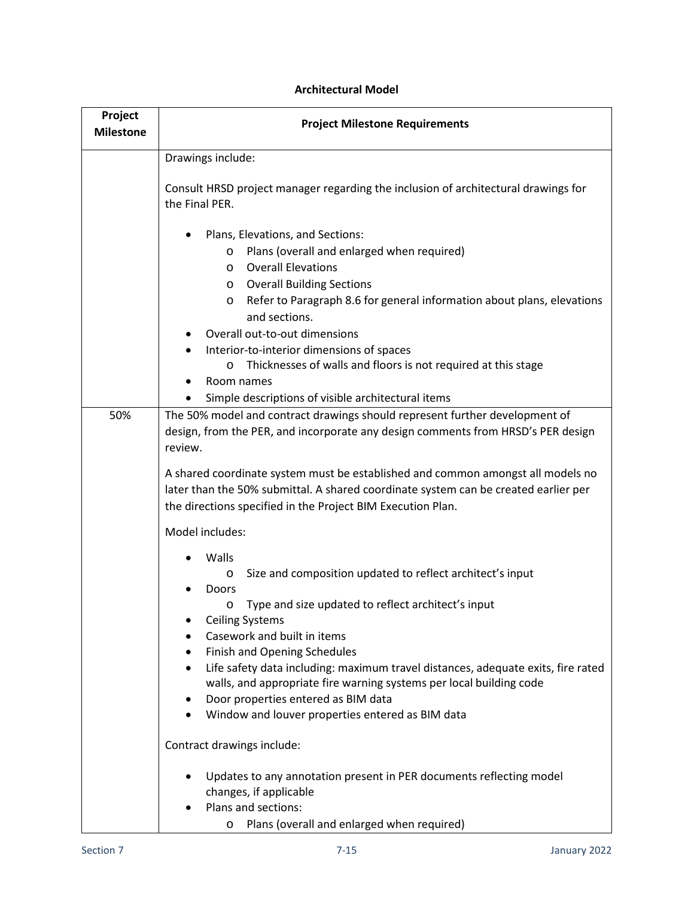| Project<br><b>Milestone</b> | <b>Project Milestone Requirements</b>                                                                                                                                                                                                                                                                                                                                                                                                  |
|-----------------------------|----------------------------------------------------------------------------------------------------------------------------------------------------------------------------------------------------------------------------------------------------------------------------------------------------------------------------------------------------------------------------------------------------------------------------------------|
|                             | Drawings include:                                                                                                                                                                                                                                                                                                                                                                                                                      |
|                             | Consult HRSD project manager regarding the inclusion of architectural drawings for<br>the Final PER.                                                                                                                                                                                                                                                                                                                                   |
|                             | Plans, Elevations, and Sections:<br>Plans (overall and enlarged when required)<br>O<br><b>Overall Elevations</b><br>$\circ$<br><b>Overall Building Sections</b><br>O<br>Refer to Paragraph 8.6 for general information about plans, elevations<br>O<br>and sections.<br>Overall out-to-out dimensions<br>Interior-to-interior dimensions of spaces<br>Thicknesses of walls and floors is not required at this stage<br>O<br>Room names |
| 50%                         | Simple descriptions of visible architectural items<br>The 50% model and contract drawings should represent further development of                                                                                                                                                                                                                                                                                                      |
|                             | design, from the PER, and incorporate any design comments from HRSD's PER design<br>review.<br>A shared coordinate system must be established and common amongst all models no<br>later than the 50% submittal. A shared coordinate system can be created earlier per<br>the directions specified in the Project BIM Execution Plan.                                                                                                   |
|                             | Model includes:                                                                                                                                                                                                                                                                                                                                                                                                                        |
|                             | Walls<br>Size and composition updated to reflect architect's input<br>$\circ$<br>Doors                                                                                                                                                                                                                                                                                                                                                 |
|                             | Type and size updated to reflect architect's input<br>O<br><b>Ceiling Systems</b><br>Casework and built in items<br>Finish and Opening Schedules<br>Life safety data including: maximum travel distances, adequate exits, fire rated<br>walls, and appropriate fire warning systems per local building code<br>Door properties entered as BIM data<br>٠<br>Window and louver properties entered as BIM data<br>٠                       |
|                             | Contract drawings include:                                                                                                                                                                                                                                                                                                                                                                                                             |
|                             | Updates to any annotation present in PER documents reflecting model<br>changes, if applicable<br>Plans and sections:<br>Plans (overall and enlarged when required)<br>$\circ$                                                                                                                                                                                                                                                          |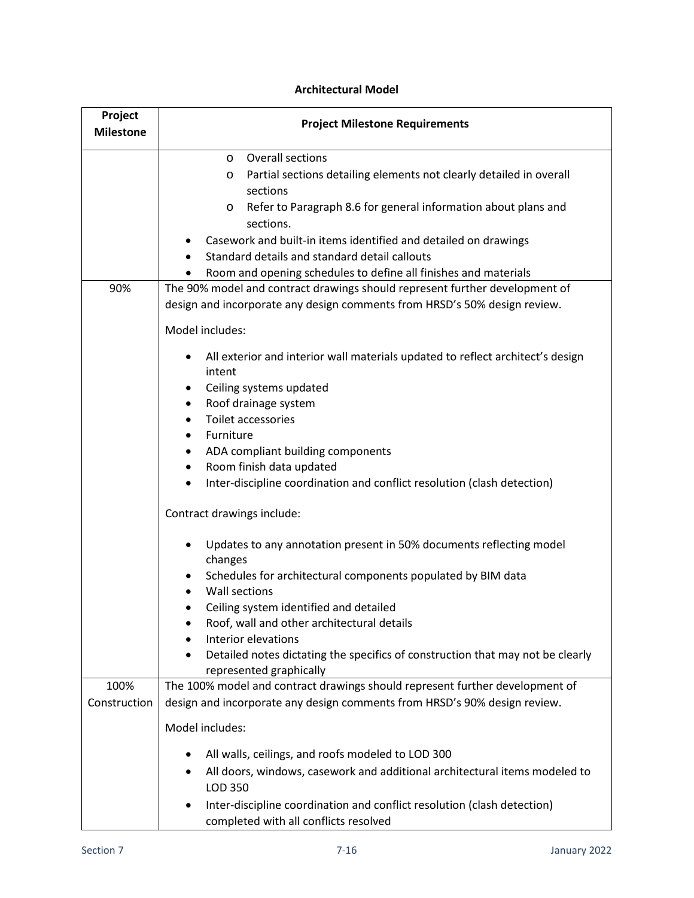| Project<br><b>Milestone</b> | <b>Project Milestone Requirements</b>                                                                                                                                                                                       |
|-----------------------------|-----------------------------------------------------------------------------------------------------------------------------------------------------------------------------------------------------------------------------|
|                             | <b>Overall sections</b><br>$\circ$<br>Partial sections detailing elements not clearly detailed in overall<br>O<br>sections                                                                                                  |
|                             | Refer to Paragraph 8.6 for general information about plans and<br>O<br>sections.                                                                                                                                            |
|                             | Casework and built-in items identified and detailed on drawings<br>Standard details and standard detail callouts                                                                                                            |
| 90%                         | Room and opening schedules to define all finishes and materials<br>The 90% model and contract drawings should represent further development of<br>design and incorporate any design comments from HRSD's 50% design review. |
|                             | Model includes:                                                                                                                                                                                                             |
|                             | All exterior and interior wall materials updated to reflect architect's design<br>٠<br>intent                                                                                                                               |
|                             | Ceiling systems updated<br>٠<br>Roof drainage system<br>٠                                                                                                                                                                   |
|                             | <b>Toilet accessories</b><br>$\bullet$                                                                                                                                                                                      |
|                             | Furniture<br>$\bullet$                                                                                                                                                                                                      |
|                             | ADA compliant building components<br>٠<br>Room finish data updated<br>٠                                                                                                                                                     |
|                             | Inter-discipline coordination and conflict resolution (clash detection)<br>٠                                                                                                                                                |
|                             | Contract drawings include:                                                                                                                                                                                                  |
|                             | Updates to any annotation present in 50% documents reflecting model<br>changes                                                                                                                                              |
|                             | Schedules for architectural components populated by BIM data<br>Wall sections                                                                                                                                               |
|                             | Ceiling system identified and detailed                                                                                                                                                                                      |
|                             | Roof, wall and other architectural details<br>Interior elevations                                                                                                                                                           |
|                             | Detailed notes dictating the specifics of construction that may not be clearly<br>represented graphically                                                                                                                   |
| 100%                        | The 100% model and contract drawings should represent further development of                                                                                                                                                |
| Construction                | design and incorporate any design comments from HRSD's 90% design review.                                                                                                                                                   |
|                             | Model includes:                                                                                                                                                                                                             |
|                             | All walls, ceilings, and roofs modeled to LOD 300                                                                                                                                                                           |
|                             | All doors, windows, casework and additional architectural items modeled to<br>LOD 350                                                                                                                                       |
|                             | Inter-discipline coordination and conflict resolution (clash detection)<br>completed with all conflicts resolved                                                                                                            |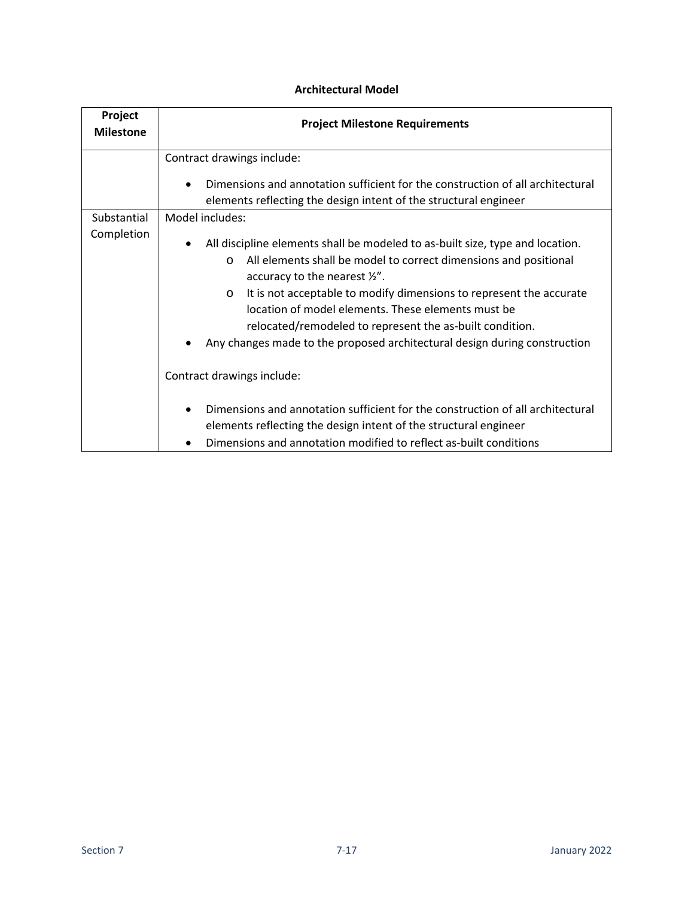| Project<br><b>Milestone</b> | <b>Project Milestone Requirements</b>                                                                                                                                                                                                                                                                                                                                                                                                                                                     |
|-----------------------------|-------------------------------------------------------------------------------------------------------------------------------------------------------------------------------------------------------------------------------------------------------------------------------------------------------------------------------------------------------------------------------------------------------------------------------------------------------------------------------------------|
|                             | Contract drawings include:<br>Dimensions and annotation sufficient for the construction of all architectural<br>$\bullet$<br>elements reflecting the design intent of the structural engineer                                                                                                                                                                                                                                                                                             |
| Substantial                 | Model includes:                                                                                                                                                                                                                                                                                                                                                                                                                                                                           |
| Completion                  | All discipline elements shall be modeled to as-built size, type and location.<br>All elements shall be model to correct dimensions and positional<br>$\Omega$<br>accuracy to the nearest $\frac{1}{2}$ .<br>It is not acceptable to modify dimensions to represent the accurate<br>$\circ$<br>location of model elements. These elements must be<br>relocated/remodeled to represent the as-built condition.<br>Any changes made to the proposed architectural design during construction |
|                             | Contract drawings include:                                                                                                                                                                                                                                                                                                                                                                                                                                                                |
|                             | Dimensions and annotation sufficient for the construction of all architectural<br>elements reflecting the design intent of the structural engineer<br>Dimensions and annotation modified to reflect as-built conditions                                                                                                                                                                                                                                                                   |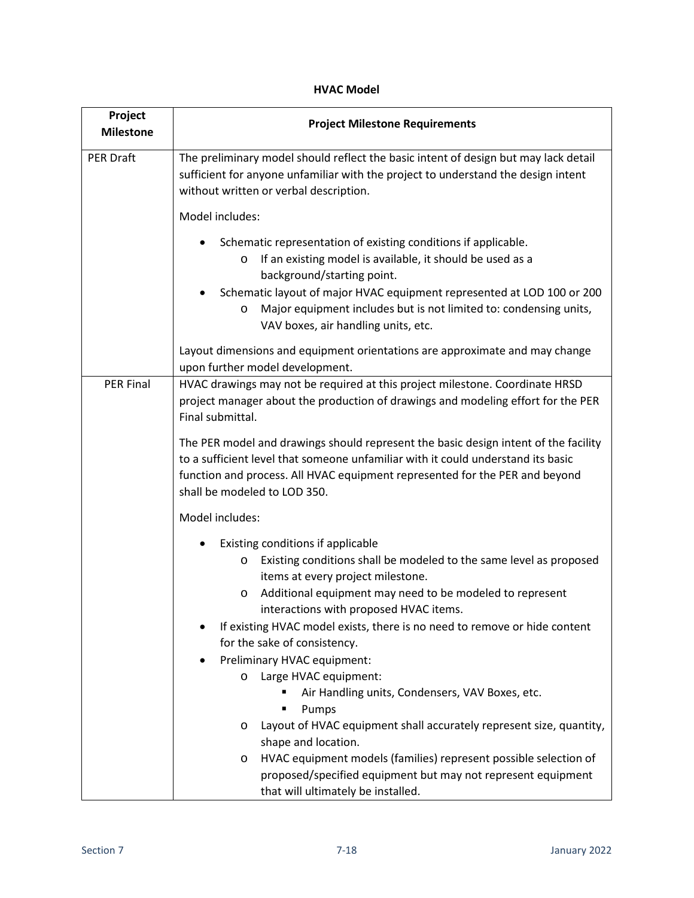| Project<br><b>Milestone</b> | <b>Project Milestone Requirements</b>                                                                                                                                                                                                                                                                                                                     |
|-----------------------------|-----------------------------------------------------------------------------------------------------------------------------------------------------------------------------------------------------------------------------------------------------------------------------------------------------------------------------------------------------------|
| <b>PER Draft</b>            | The preliminary model should reflect the basic intent of design but may lack detail<br>sufficient for anyone unfamiliar with the project to understand the design intent<br>without written or verbal description.                                                                                                                                        |
|                             | Model includes:                                                                                                                                                                                                                                                                                                                                           |
|                             | Schematic representation of existing conditions if applicable.<br>If an existing model is available, it should be used as a<br>O<br>background/starting point.<br>Schematic layout of major HVAC equipment represented at LOD 100 or 200<br>Major equipment includes but is not limited to: condensing units,<br>O<br>VAV boxes, air handling units, etc. |
|                             | Layout dimensions and equipment orientations are approximate and may change<br>upon further model development.                                                                                                                                                                                                                                            |
| <b>PER Final</b>            | HVAC drawings may not be required at this project milestone. Coordinate HRSD<br>project manager about the production of drawings and modeling effort for the PER<br>Final submittal.                                                                                                                                                                      |
|                             | The PER model and drawings should represent the basic design intent of the facility<br>to a sufficient level that someone unfamiliar with it could understand its basic<br>function and process. All HVAC equipment represented for the PER and beyond<br>shall be modeled to LOD 350.                                                                    |
|                             | Model includes:                                                                                                                                                                                                                                                                                                                                           |
|                             | Existing conditions if applicable<br>Existing conditions shall be modeled to the same level as proposed<br>O<br>items at every project milestone.<br>Additional equipment may need to be modeled to represent<br>$\circ$<br>interactions with proposed HVAC items.                                                                                        |
|                             | If existing HVAC model exists, there is no need to remove or hide content<br>for the sake of consistency.                                                                                                                                                                                                                                                 |
|                             | Preliminary HVAC equipment:                                                                                                                                                                                                                                                                                                                               |
|                             | Large HVAC equipment:<br>O                                                                                                                                                                                                                                                                                                                                |
|                             | Air Handling units, Condensers, VAV Boxes, etc.<br>Pumps<br>п                                                                                                                                                                                                                                                                                             |
|                             | Layout of HVAC equipment shall accurately represent size, quantity,<br>O<br>shape and location.                                                                                                                                                                                                                                                           |
|                             | HVAC equipment models (families) represent possible selection of<br>O                                                                                                                                                                                                                                                                                     |
|                             | proposed/specified equipment but may not represent equipment<br>that will ultimately be installed.                                                                                                                                                                                                                                                        |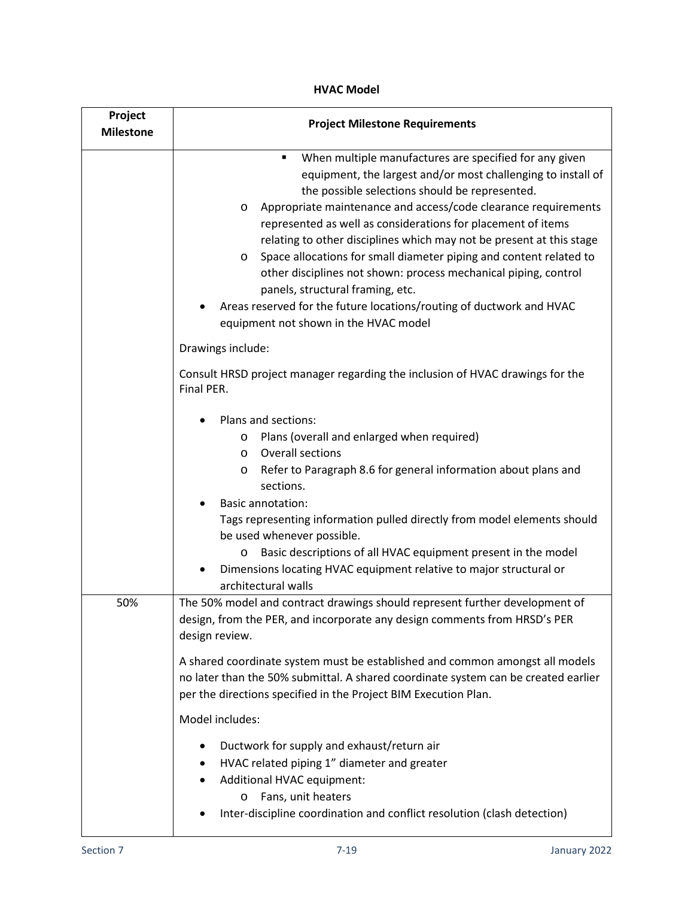| Project<br><b>Milestone</b> | <b>Project Milestone Requirements</b>                                                                                                                                                                                                                                                                                                                                                                                                                                                                                                                                                                                                                                                                                            |
|-----------------------------|----------------------------------------------------------------------------------------------------------------------------------------------------------------------------------------------------------------------------------------------------------------------------------------------------------------------------------------------------------------------------------------------------------------------------------------------------------------------------------------------------------------------------------------------------------------------------------------------------------------------------------------------------------------------------------------------------------------------------------|
|                             | When multiple manufactures are specified for any given<br>٠<br>equipment, the largest and/or most challenging to install of<br>the possible selections should be represented.<br>Appropriate maintenance and access/code clearance requirements<br>$\circ$<br>represented as well as considerations for placement of items<br>relating to other disciplines which may not be present at this stage<br>Space allocations for small diameter piping and content related to<br>$\circ$<br>other disciplines not shown: process mechanical piping, control<br>panels, structural framing, etc.<br>Areas reserved for the future locations/routing of ductwork and HVAC<br>equipment not shown in the HVAC model<br>Drawings include: |
|                             | Consult HRSD project manager regarding the inclusion of HVAC drawings for the<br>Final PER.                                                                                                                                                                                                                                                                                                                                                                                                                                                                                                                                                                                                                                      |
|                             | Plans and sections:<br>Plans (overall and enlarged when required)<br>O<br><b>Overall sections</b><br>$\circ$<br>Refer to Paragraph 8.6 for general information about plans and<br>O<br>sections.<br><b>Basic annotation:</b><br>Tags representing information pulled directly from model elements should<br>be used whenever possible.<br>Basic descriptions of all HVAC equipment present in the model<br>O<br>Dimensions locating HVAC equipment relative to major structural or<br>architectural walls                                                                                                                                                                                                                        |
| 50%                         | The 50% model and contract drawings should represent further development of<br>design, from the PER, and incorporate any design comments from HRSD's PER<br>design review.                                                                                                                                                                                                                                                                                                                                                                                                                                                                                                                                                       |
|                             | A shared coordinate system must be established and common amongst all models<br>no later than the 50% submittal. A shared coordinate system can be created earlier<br>per the directions specified in the Project BIM Execution Plan.<br>Model includes:                                                                                                                                                                                                                                                                                                                                                                                                                                                                         |
|                             | Ductwork for supply and exhaust/return air<br>HVAC related piping 1" diameter and greater<br>٠<br>Additional HVAC equipment:<br>Fans, unit heaters<br>O<br>Inter-discipline coordination and conflict resolution (clash detection)                                                                                                                                                                                                                                                                                                                                                                                                                                                                                               |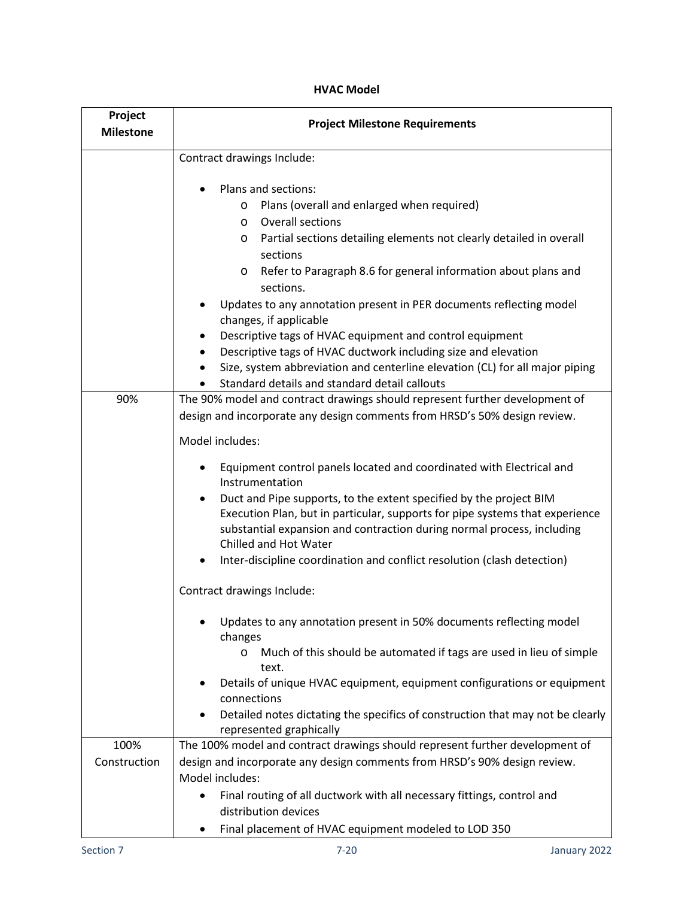| Project<br><b>Milestone</b> | <b>Project Milestone Requirements</b>                                                                                                                                                                                                                                                                                                                                                                                                         |
|-----------------------------|-----------------------------------------------------------------------------------------------------------------------------------------------------------------------------------------------------------------------------------------------------------------------------------------------------------------------------------------------------------------------------------------------------------------------------------------------|
|                             | Contract drawings Include:                                                                                                                                                                                                                                                                                                                                                                                                                    |
|                             | Plans and sections:<br>Plans (overall and enlarged when required)<br>O<br>Overall sections<br>$\circ$<br>Partial sections detailing elements not clearly detailed in overall<br>O<br>sections<br>Refer to Paragraph 8.6 for general information about plans and<br>$\circ$<br>sections.                                                                                                                                                       |
|                             | Updates to any annotation present in PER documents reflecting model<br>changes, if applicable<br>Descriptive tags of HVAC equipment and control equipment<br>٠<br>Descriptive tags of HVAC ductwork including size and elevation<br>٠<br>Size, system abbreviation and centerline elevation (CL) for all major piping<br>Standard details and standard detail callouts<br>٠                                                                   |
| 90%                         | The 90% model and contract drawings should represent further development of<br>design and incorporate any design comments from HRSD's 50% design review.                                                                                                                                                                                                                                                                                      |
|                             | Model includes:                                                                                                                                                                                                                                                                                                                                                                                                                               |
|                             | Equipment control panels located and coordinated with Electrical and<br>Instrumentation<br>Duct and Pipe supports, to the extent specified by the project BIM<br>$\bullet$<br>Execution Plan, but in particular, supports for pipe systems that experience<br>substantial expansion and contraction during normal process, including<br>Chilled and Hot Water<br>Inter-discipline coordination and conflict resolution (clash detection)<br>٠ |
|                             | Contract drawings Include:                                                                                                                                                                                                                                                                                                                                                                                                                    |
|                             | Updates to any annotation present in 50% documents reflecting model<br>changes<br>Much of this should be automated if tags are used in lieu of simple<br>O<br>text.                                                                                                                                                                                                                                                                           |
|                             | Details of unique HVAC equipment, equipment configurations or equipment<br>٠<br>connections<br>Detailed notes dictating the specifics of construction that may not be clearly<br>represented graphically                                                                                                                                                                                                                                      |
| 100%                        | The 100% model and contract drawings should represent further development of                                                                                                                                                                                                                                                                                                                                                                  |
| Construction                | design and incorporate any design comments from HRSD's 90% design review.<br>Model includes:                                                                                                                                                                                                                                                                                                                                                  |
|                             | Final routing of all ductwork with all necessary fittings, control and<br>distribution devices<br>Final placement of HVAC equipment modeled to LOD 350<br>٠                                                                                                                                                                                                                                                                                   |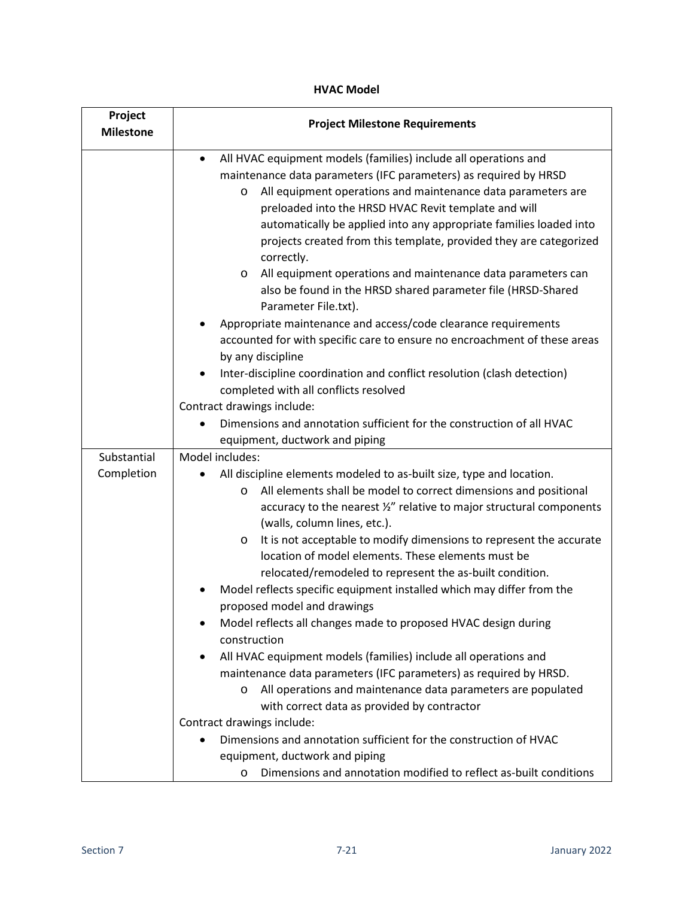| Project<br><b>Milestone</b> | <b>Project Milestone Requirements</b>                                                                                                                                                                                                                                                                                                                                                                                                                                                                                                                                                                                                                                                                                                                                                                                                                                                                          |
|-----------------------------|----------------------------------------------------------------------------------------------------------------------------------------------------------------------------------------------------------------------------------------------------------------------------------------------------------------------------------------------------------------------------------------------------------------------------------------------------------------------------------------------------------------------------------------------------------------------------------------------------------------------------------------------------------------------------------------------------------------------------------------------------------------------------------------------------------------------------------------------------------------------------------------------------------------|
|                             | All HVAC equipment models (families) include all operations and<br>$\bullet$<br>maintenance data parameters (IFC parameters) as required by HRSD<br>All equipment operations and maintenance data parameters are<br>O<br>preloaded into the HRSD HVAC Revit template and will<br>automatically be applied into any appropriate families loaded into<br>projects created from this template, provided they are categorized<br>correctly.<br>All equipment operations and maintenance data parameters can<br>O<br>also be found in the HRSD shared parameter file (HRSD-Shared<br>Parameter File.txt).<br>Appropriate maintenance and access/code clearance requirements<br>accounted for with specific care to ensure no encroachment of these areas<br>by any discipline                                                                                                                                       |
|                             | Inter-discipline coordination and conflict resolution (clash detection)<br>$\bullet$<br>completed with all conflicts resolved<br>Contract drawings include:<br>Dimensions and annotation sufficient for the construction of all HVAC<br>equipment, ductwork and piping                                                                                                                                                                                                                                                                                                                                                                                                                                                                                                                                                                                                                                         |
| Substantial                 | Model includes:                                                                                                                                                                                                                                                                                                                                                                                                                                                                                                                                                                                                                                                                                                                                                                                                                                                                                                |
| Completion                  | All discipline elements modeled to as-built size, type and location.<br>All elements shall be model to correct dimensions and positional<br>O<br>accuracy to the nearest 1/2" relative to major structural components<br>(walls, column lines, etc.).<br>It is not acceptable to modify dimensions to represent the accurate<br>O<br>location of model elements. These elements must be<br>relocated/remodeled to represent the as-built condition.<br>Model reflects specific equipment installed which may differ from the<br>proposed model and drawings<br>Model reflects all changes made to proposed HVAC design during<br>construction<br>All HVAC equipment models (families) include all operations and<br>٠<br>maintenance data parameters (IFC parameters) as required by HRSD.<br>All operations and maintenance data parameters are populated<br>O<br>with correct data as provided by contractor |
|                             | Contract drawings include:                                                                                                                                                                                                                                                                                                                                                                                                                                                                                                                                                                                                                                                                                                                                                                                                                                                                                     |
|                             | Dimensions and annotation sufficient for the construction of HVAC<br>equipment, ductwork and piping<br>Dimensions and annotation modified to reflect as-built conditions<br>$\circ$                                                                                                                                                                                                                                                                                                                                                                                                                                                                                                                                                                                                                                                                                                                            |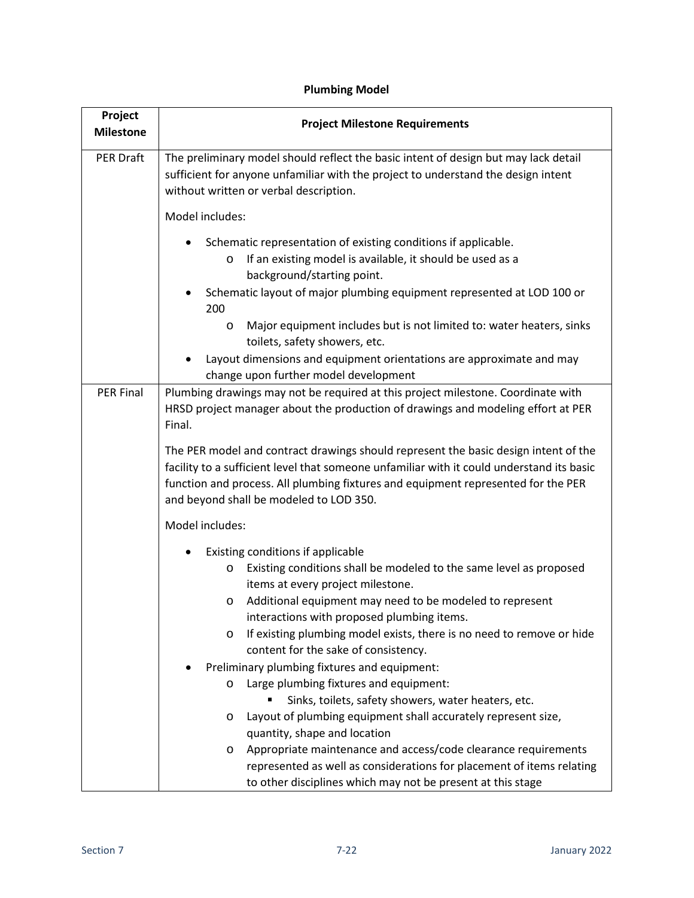| Project<br><b>Milestone</b> | <b>Project Milestone Requirements</b>                                                                                                                                                                                                                                                                                                                                                                                                                                                                                                                                                                                                                                                                                                                                                                    |
|-----------------------------|----------------------------------------------------------------------------------------------------------------------------------------------------------------------------------------------------------------------------------------------------------------------------------------------------------------------------------------------------------------------------------------------------------------------------------------------------------------------------------------------------------------------------------------------------------------------------------------------------------------------------------------------------------------------------------------------------------------------------------------------------------------------------------------------------------|
| PER Draft                   | The preliminary model should reflect the basic intent of design but may lack detail<br>sufficient for anyone unfamiliar with the project to understand the design intent<br>without written or verbal description.                                                                                                                                                                                                                                                                                                                                                                                                                                                                                                                                                                                       |
|                             | Model includes:                                                                                                                                                                                                                                                                                                                                                                                                                                                                                                                                                                                                                                                                                                                                                                                          |
|                             | Schematic representation of existing conditions if applicable.<br>If an existing model is available, it should be used as a<br>$\circ$<br>background/starting point.<br>Schematic layout of major plumbing equipment represented at LOD 100 or<br>200                                                                                                                                                                                                                                                                                                                                                                                                                                                                                                                                                    |
|                             | Major equipment includes but is not limited to: water heaters, sinks<br>$\circ$<br>toilets, safety showers, etc.                                                                                                                                                                                                                                                                                                                                                                                                                                                                                                                                                                                                                                                                                         |
|                             | Layout dimensions and equipment orientations are approximate and may<br>change upon further model development                                                                                                                                                                                                                                                                                                                                                                                                                                                                                                                                                                                                                                                                                            |
| <b>PER Final</b>            | Plumbing drawings may not be required at this project milestone. Coordinate with<br>HRSD project manager about the production of drawings and modeling effort at PER<br>Final.                                                                                                                                                                                                                                                                                                                                                                                                                                                                                                                                                                                                                           |
|                             | The PER model and contract drawings should represent the basic design intent of the<br>facility to a sufficient level that someone unfamiliar with it could understand its basic<br>function and process. All plumbing fixtures and equipment represented for the PER<br>and beyond shall be modeled to LOD 350.                                                                                                                                                                                                                                                                                                                                                                                                                                                                                         |
|                             | Model includes:                                                                                                                                                                                                                                                                                                                                                                                                                                                                                                                                                                                                                                                                                                                                                                                          |
|                             | Existing conditions if applicable<br>Existing conditions shall be modeled to the same level as proposed<br>O<br>items at every project milestone.<br>Additional equipment may need to be modeled to represent<br>O<br>interactions with proposed plumbing items.<br>If existing plumbing model exists, there is no need to remove or hide<br>$\circ$<br>content for the sake of consistency.<br>Preliminary plumbing fixtures and equipment:<br>Large plumbing fixtures and equipment:<br>O<br>Sinks, toilets, safety showers, water heaters, etc.<br>Layout of plumbing equipment shall accurately represent size,<br>O<br>quantity, shape and location<br>Appropriate maintenance and access/code clearance requirements<br>O<br>represented as well as considerations for placement of items relating |
|                             | to other disciplines which may not be present at this stage                                                                                                                                                                                                                                                                                                                                                                                                                                                                                                                                                                                                                                                                                                                                              |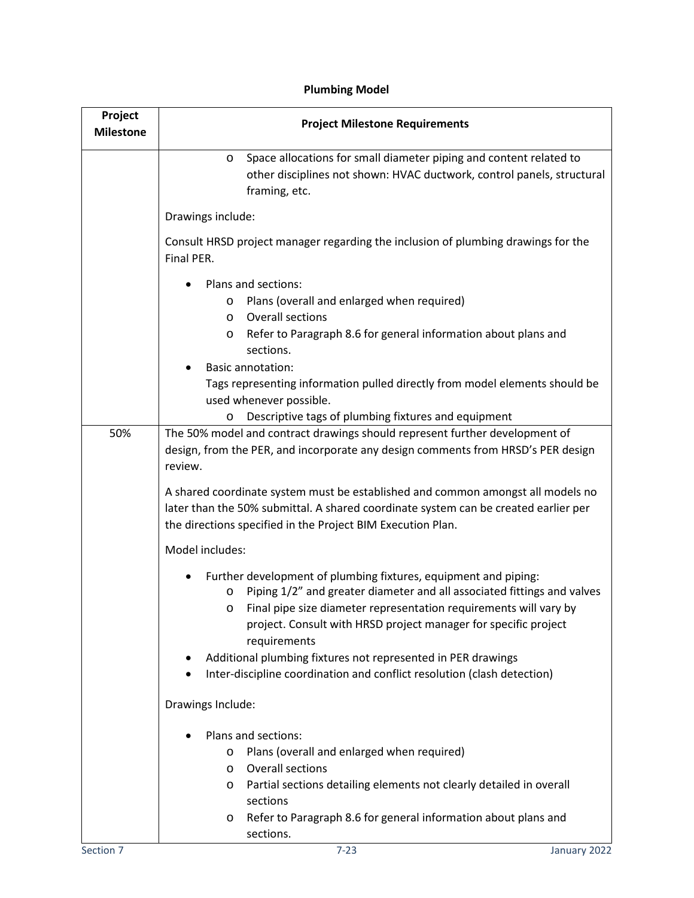| Project<br><b>Milestone</b> | <b>Project Milestone Requirements</b>                                                                                                                                                                                                                                                                              |
|-----------------------------|--------------------------------------------------------------------------------------------------------------------------------------------------------------------------------------------------------------------------------------------------------------------------------------------------------------------|
|                             | Space allocations for small diameter piping and content related to<br>O<br>other disciplines not shown: HVAC ductwork, control panels, structural<br>framing, etc.                                                                                                                                                 |
|                             | Drawings include:                                                                                                                                                                                                                                                                                                  |
|                             | Consult HRSD project manager regarding the inclusion of plumbing drawings for the<br>Final PER.                                                                                                                                                                                                                    |
|                             | Plans and sections:<br>Plans (overall and enlarged when required)<br>O<br><b>Overall sections</b><br>O<br>Refer to Paragraph 8.6 for general information about plans and<br>O<br>sections.                                                                                                                         |
|                             | <b>Basic annotation:</b><br>Tags representing information pulled directly from model elements should be<br>used whenever possible.                                                                                                                                                                                 |
| 50%                         | Descriptive tags of plumbing fixtures and equipment<br>O<br>The 50% model and contract drawings should represent further development of<br>design, from the PER, and incorporate any design comments from HRSD's PER design<br>review.                                                                             |
|                             | A shared coordinate system must be established and common amongst all models no<br>later than the 50% submittal. A shared coordinate system can be created earlier per<br>the directions specified in the Project BIM Execution Plan.                                                                              |
|                             | Model includes:                                                                                                                                                                                                                                                                                                    |
|                             | Further development of plumbing fixtures, equipment and piping:<br>Piping 1/2" and greater diameter and all associated fittings and valves<br>$\circ$<br>Final pipe size diameter representation requirements will vary by<br>O<br>project. Consult with HRSD project manager for specific project<br>requirements |
|                             | Additional plumbing fixtures not represented in PER drawings<br>Inter-discipline coordination and conflict resolution (clash detection)                                                                                                                                                                            |
|                             | Drawings Include:                                                                                                                                                                                                                                                                                                  |
|                             | Plans and sections:                                                                                                                                                                                                                                                                                                |
|                             | Plans (overall and enlarged when required)<br>O                                                                                                                                                                                                                                                                    |
|                             | Overall sections<br>O                                                                                                                                                                                                                                                                                              |
|                             | Partial sections detailing elements not clearly detailed in overall<br>O<br>sections                                                                                                                                                                                                                               |
|                             | Refer to Paragraph 8.6 for general information about plans and<br>O                                                                                                                                                                                                                                                |
|                             | sections.                                                                                                                                                                                                                                                                                                          |
| Section 7                   | $7 - 23$<br>January 2022                                                                                                                                                                                                                                                                                           |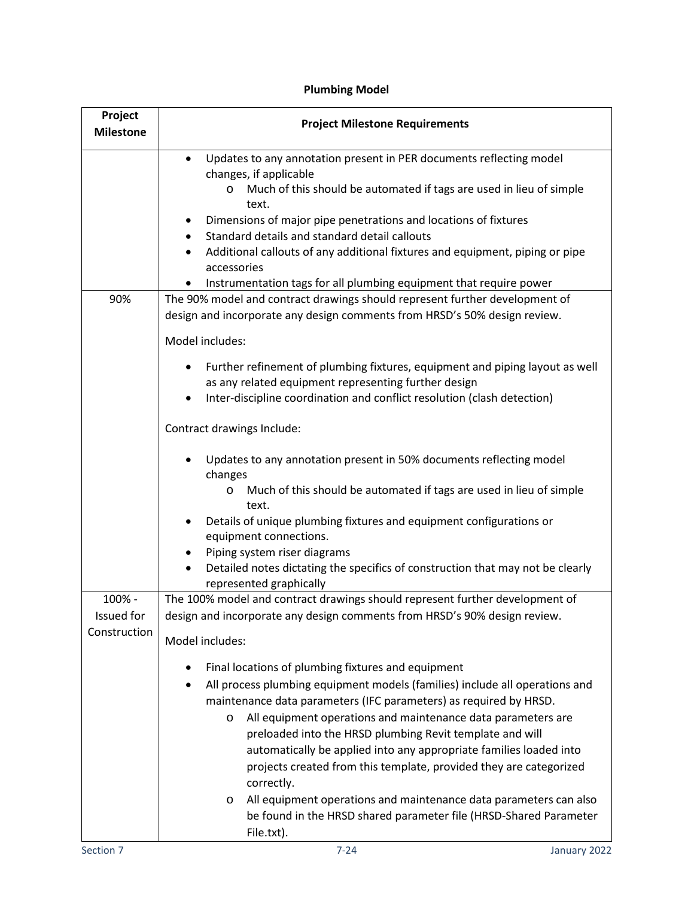| Project<br><b>Milestone</b>          | <b>Project Milestone Requirements</b>                                                                                                                                                                                                                                                                                                                                                                                                                                                                                                                                                                                                                                                        |
|--------------------------------------|----------------------------------------------------------------------------------------------------------------------------------------------------------------------------------------------------------------------------------------------------------------------------------------------------------------------------------------------------------------------------------------------------------------------------------------------------------------------------------------------------------------------------------------------------------------------------------------------------------------------------------------------------------------------------------------------|
|                                      | Updates to any annotation present in PER documents reflecting model<br>$\bullet$<br>changes, if applicable<br>Much of this should be automated if tags are used in lieu of simple<br>$\circ$<br>text.<br>Dimensions of major pipe penetrations and locations of fixtures<br>٠<br>Standard details and standard detail callouts<br>Additional callouts of any additional fixtures and equipment, piping or pipe<br>$\bullet$<br>accessories<br>Instrumentation tags for all plumbing equipment that require power                                                                                                                                                                             |
| 90%                                  | The 90% model and contract drawings should represent further development of<br>design and incorporate any design comments from HRSD's 50% design review.<br>Model includes:                                                                                                                                                                                                                                                                                                                                                                                                                                                                                                                  |
|                                      | Further refinement of plumbing fixtures, equipment and piping layout as well<br>٠<br>as any related equipment representing further design<br>Inter-discipline coordination and conflict resolution (clash detection)<br>٠                                                                                                                                                                                                                                                                                                                                                                                                                                                                    |
|                                      | Contract drawings Include:                                                                                                                                                                                                                                                                                                                                                                                                                                                                                                                                                                                                                                                                   |
|                                      | Updates to any annotation present in 50% documents reflecting model<br>changes<br>Much of this should be automated if tags are used in lieu of simple<br>O<br>text.<br>Details of unique plumbing fixtures and equipment configurations or                                                                                                                                                                                                                                                                                                                                                                                                                                                   |
|                                      | equipment connections.<br>Piping system riser diagrams<br>٠<br>Detailed notes dictating the specifics of construction that may not be clearly<br>$\bullet$<br>represented graphically                                                                                                                                                                                                                                                                                                                                                                                                                                                                                                        |
| 100% -<br>Issued for<br>Construction | The 100% model and contract drawings should represent further development of<br>design and incorporate any design comments from HRSD's 90% design review.<br>Model includes:                                                                                                                                                                                                                                                                                                                                                                                                                                                                                                                 |
|                                      | Final locations of plumbing fixtures and equipment<br>٠<br>All process plumbing equipment models (families) include all operations and<br>$\bullet$<br>maintenance data parameters (IFC parameters) as required by HRSD.<br>All equipment operations and maintenance data parameters are<br>$\circ$<br>preloaded into the HRSD plumbing Revit template and will<br>automatically be applied into any appropriate families loaded into<br>projects created from this template, provided they are categorized<br>correctly.<br>All equipment operations and maintenance data parameters can also<br>$\circ$<br>be found in the HRSD shared parameter file (HRSD-Shared Parameter<br>File.txt). |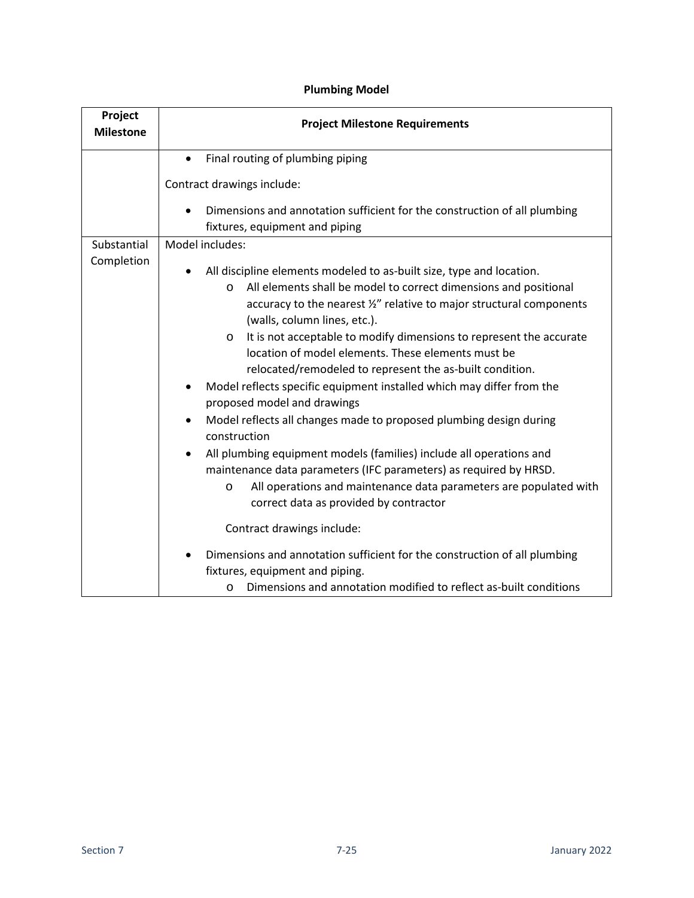| Project<br><b>Milestone</b> | <b>Project Milestone Requirements</b>                                                                                                                                                                                                                                                                                                                                                                                                                                                                                                                                                                                                                                                                                                                                                                                                                                                                                                                                                                                                                                                                                                                              |  |  |  |  |
|-----------------------------|--------------------------------------------------------------------------------------------------------------------------------------------------------------------------------------------------------------------------------------------------------------------------------------------------------------------------------------------------------------------------------------------------------------------------------------------------------------------------------------------------------------------------------------------------------------------------------------------------------------------------------------------------------------------------------------------------------------------------------------------------------------------------------------------------------------------------------------------------------------------------------------------------------------------------------------------------------------------------------------------------------------------------------------------------------------------------------------------------------------------------------------------------------------------|--|--|--|--|
|                             | Final routing of plumbing piping<br>$\bullet$                                                                                                                                                                                                                                                                                                                                                                                                                                                                                                                                                                                                                                                                                                                                                                                                                                                                                                                                                                                                                                                                                                                      |  |  |  |  |
|                             | Contract drawings include:                                                                                                                                                                                                                                                                                                                                                                                                                                                                                                                                                                                                                                                                                                                                                                                                                                                                                                                                                                                                                                                                                                                                         |  |  |  |  |
|                             | Dimensions and annotation sufficient for the construction of all plumbing<br>fixtures, equipment and piping                                                                                                                                                                                                                                                                                                                                                                                                                                                                                                                                                                                                                                                                                                                                                                                                                                                                                                                                                                                                                                                        |  |  |  |  |
| Substantial                 | Model includes:                                                                                                                                                                                                                                                                                                                                                                                                                                                                                                                                                                                                                                                                                                                                                                                                                                                                                                                                                                                                                                                                                                                                                    |  |  |  |  |
| Completion                  | All discipline elements modeled to as-built size, type and location.<br>All elements shall be model to correct dimensions and positional<br>$\circ$<br>accuracy to the nearest 1/2" relative to major structural components<br>(walls, column lines, etc.).<br>It is not acceptable to modify dimensions to represent the accurate<br>O<br>location of model elements. These elements must be<br>relocated/remodeled to represent the as-built condition.<br>Model reflects specific equipment installed which may differ from the<br>proposed model and drawings<br>Model reflects all changes made to proposed plumbing design during<br>construction<br>All plumbing equipment models (families) include all operations and<br>$\bullet$<br>maintenance data parameters (IFC parameters) as required by HRSD.<br>All operations and maintenance data parameters are populated with<br>$\circ$<br>correct data as provided by contractor<br>Contract drawings include:<br>Dimensions and annotation sufficient for the construction of all plumbing<br>fixtures, equipment and piping.<br>Dimensions and annotation modified to reflect as-built conditions<br>O |  |  |  |  |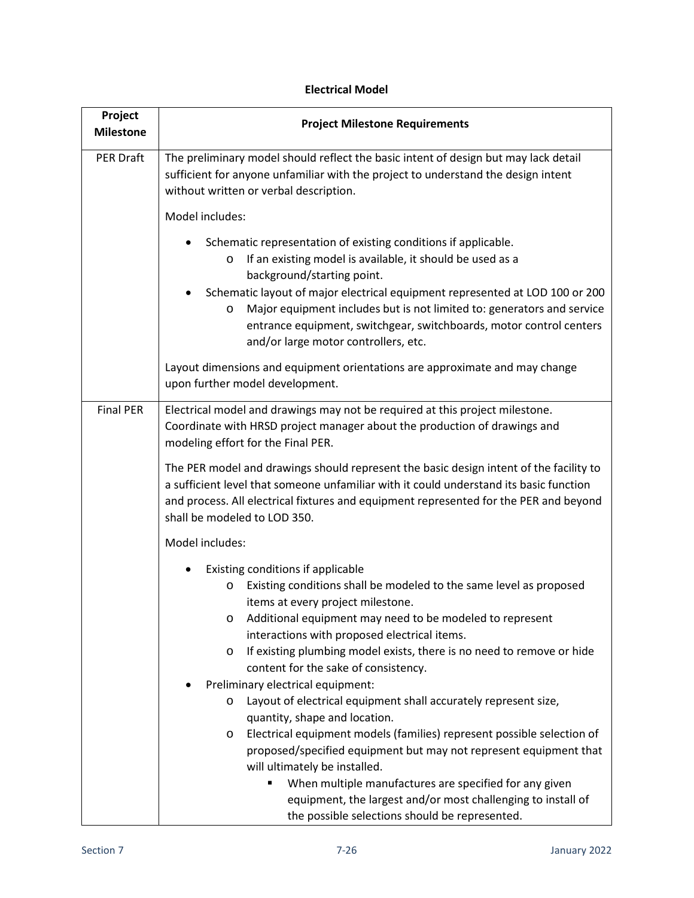| Project<br><b>Milestone</b> | <b>Project Milestone Requirements</b>                                                                                                                                                                                                                                                                                                                                                                                                        |  |  |  |  |
|-----------------------------|----------------------------------------------------------------------------------------------------------------------------------------------------------------------------------------------------------------------------------------------------------------------------------------------------------------------------------------------------------------------------------------------------------------------------------------------|--|--|--|--|
| <b>PER Draft</b>            | The preliminary model should reflect the basic intent of design but may lack detail<br>sufficient for anyone unfamiliar with the project to understand the design intent<br>without written or verbal description.                                                                                                                                                                                                                           |  |  |  |  |
|                             | Model includes:                                                                                                                                                                                                                                                                                                                                                                                                                              |  |  |  |  |
|                             | Schematic representation of existing conditions if applicable.<br>If an existing model is available, it should be used as a<br>O<br>background/starting point.<br>Schematic layout of major electrical equipment represented at LOD 100 or 200<br>Major equipment includes but is not limited to: generators and service<br>O<br>entrance equipment, switchgear, switchboards, motor control centers<br>and/or large motor controllers, etc. |  |  |  |  |
|                             | Layout dimensions and equipment orientations are approximate and may change<br>upon further model development.                                                                                                                                                                                                                                                                                                                               |  |  |  |  |
| <b>Final PER</b>            | Electrical model and drawings may not be required at this project milestone.<br>Coordinate with HRSD project manager about the production of drawings and<br>modeling effort for the Final PER.<br>The PER model and drawings should represent the basic design intent of the facility to<br>a sufficient level that someone unfamiliar with it could understand its basic function                                                          |  |  |  |  |
|                             | and process. All electrical fixtures and equipment represented for the PER and beyond<br>shall be modeled to LOD 350.                                                                                                                                                                                                                                                                                                                        |  |  |  |  |
|                             | Model includes:                                                                                                                                                                                                                                                                                                                                                                                                                              |  |  |  |  |
|                             | Existing conditions if applicable<br>Existing conditions shall be modeled to the same level as proposed<br>O<br>items at every project milestone.<br>Additional equipment may need to be modeled to represent<br>O<br>interactions with proposed electrical items.<br>If existing plumbing model exists, there is no need to remove or hide<br>O<br>content for the sake of consistency.<br>Preliminary electrical equipment:                |  |  |  |  |
|                             | Layout of electrical equipment shall accurately represent size,<br>O<br>quantity, shape and location.                                                                                                                                                                                                                                                                                                                                        |  |  |  |  |
|                             | Electrical equipment models (families) represent possible selection of<br>$\circ$<br>proposed/specified equipment but may not represent equipment that<br>will ultimately be installed.<br>When multiple manufactures are specified for any given<br>equipment, the largest and/or most challenging to install of                                                                                                                            |  |  |  |  |
|                             | the possible selections should be represented.                                                                                                                                                                                                                                                                                                                                                                                               |  |  |  |  |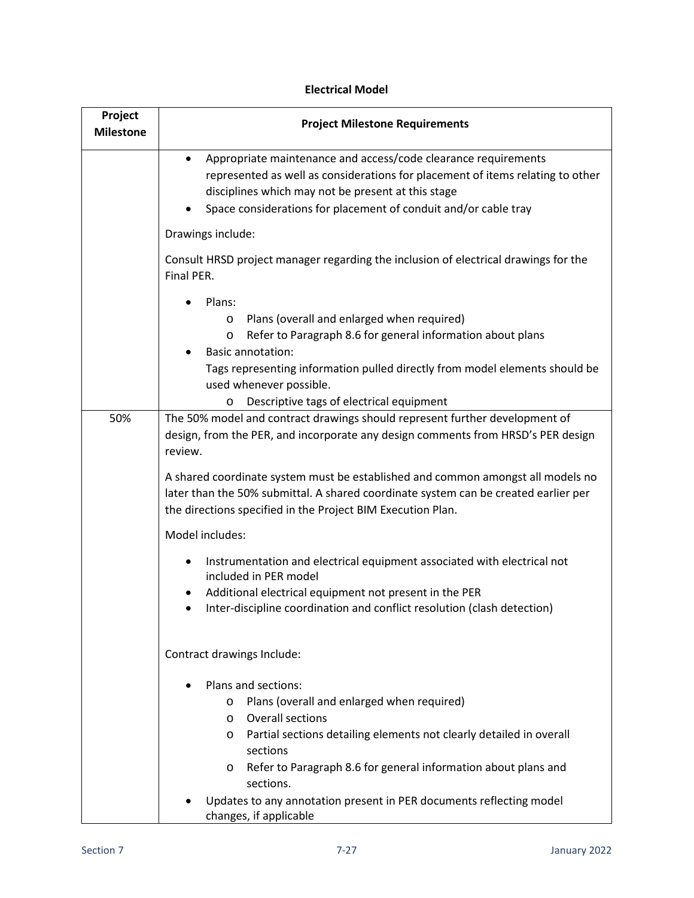| Project<br><b>Milestone</b> | <b>Project Milestone Requirements</b>                                                                                                                                                                                                                                                                                                                                                                 |  |  |  |  |
|-----------------------------|-------------------------------------------------------------------------------------------------------------------------------------------------------------------------------------------------------------------------------------------------------------------------------------------------------------------------------------------------------------------------------------------------------|--|--|--|--|
|                             | Appropriate maintenance and access/code clearance requirements<br>$\bullet$<br>represented as well as considerations for placement of items relating to other<br>disciplines which may not be present at this stage<br>Space considerations for placement of conduit and/or cable tray                                                                                                                |  |  |  |  |
|                             | Drawings include:                                                                                                                                                                                                                                                                                                                                                                                     |  |  |  |  |
|                             | Consult HRSD project manager regarding the inclusion of electrical drawings for the<br>Final PER.                                                                                                                                                                                                                                                                                                     |  |  |  |  |
|                             | Plans:<br>Plans (overall and enlarged when required)<br>O<br>Refer to Paragraph 8.6 for general information about plans<br>O<br><b>Basic annotation:</b><br>Tags representing information pulled directly from model elements should be<br>used whenever possible.<br>Descriptive tags of electrical equipment<br>O                                                                                   |  |  |  |  |
| 50%                         | The 50% model and contract drawings should represent further development of<br>design, from the PER, and incorporate any design comments from HRSD's PER design<br>review.                                                                                                                                                                                                                            |  |  |  |  |
|                             | A shared coordinate system must be established and common amongst all models no<br>later than the 50% submittal. A shared coordinate system can be created earlier per<br>the directions specified in the Project BIM Execution Plan.                                                                                                                                                                 |  |  |  |  |
|                             | Model includes:                                                                                                                                                                                                                                                                                                                                                                                       |  |  |  |  |
|                             | Instrumentation and electrical equipment associated with electrical not<br>included in PER model<br>Additional electrical equipment not present in the PER<br>Inter-discipline coordination and conflict resolution (clash detection)<br>٠                                                                                                                                                            |  |  |  |  |
|                             | Contract drawings Include:                                                                                                                                                                                                                                                                                                                                                                            |  |  |  |  |
|                             | Plans and sections:<br>Plans (overall and enlarged when required)<br>O<br><b>Overall sections</b><br>$\circ$<br>Partial sections detailing elements not clearly detailed in overall<br>$\circ$<br>sections<br>Refer to Paragraph 8.6 for general information about plans and<br>$\circ$<br>sections.<br>Updates to any annotation present in PER documents reflecting model<br>changes, if applicable |  |  |  |  |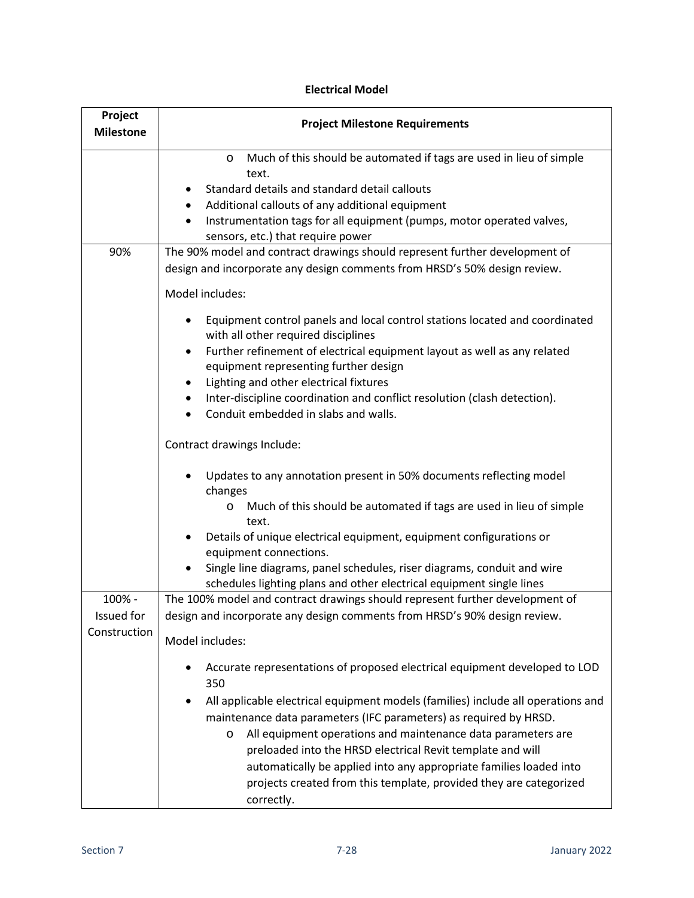| Project<br><b>Milestone</b> | <b>Project Milestone Requirements</b>                                                                                                                              |  |  |  |  |
|-----------------------------|--------------------------------------------------------------------------------------------------------------------------------------------------------------------|--|--|--|--|
|                             | Much of this should be automated if tags are used in lieu of simple<br>$\circ$                                                                                     |  |  |  |  |
|                             | text.                                                                                                                                                              |  |  |  |  |
|                             | Standard details and standard detail callouts                                                                                                                      |  |  |  |  |
|                             | Additional callouts of any additional equipment<br>٠                                                                                                               |  |  |  |  |
|                             | Instrumentation tags for all equipment (pumps, motor operated valves,<br>$\bullet$<br>sensors, etc.) that require power                                            |  |  |  |  |
| 90%                         | The 90% model and contract drawings should represent further development of                                                                                        |  |  |  |  |
|                             | design and incorporate any design comments from HRSD's 50% design review.                                                                                          |  |  |  |  |
|                             | Model includes:                                                                                                                                                    |  |  |  |  |
|                             | Equipment control panels and local control stations located and coordinated<br>with all other required disciplines                                                 |  |  |  |  |
|                             | Further refinement of electrical equipment layout as well as any related<br>٠<br>equipment representing further design                                             |  |  |  |  |
|                             | Lighting and other electrical fixtures<br>$\bullet$                                                                                                                |  |  |  |  |
|                             | Inter-discipline coordination and conflict resolution (clash detection).<br>٠<br>Conduit embedded in slabs and walls.                                              |  |  |  |  |
|                             | Contract drawings Include:                                                                                                                                         |  |  |  |  |
|                             | Updates to any annotation present in 50% documents reflecting model<br>changes                                                                                     |  |  |  |  |
|                             | Much of this should be automated if tags are used in lieu of simple<br>O<br>text.                                                                                  |  |  |  |  |
|                             | Details of unique electrical equipment, equipment configurations or<br>equipment connections.                                                                      |  |  |  |  |
|                             | Single line diagrams, panel schedules, riser diagrams, conduit and wire<br>schedules lighting plans and other electrical equipment single lines                    |  |  |  |  |
| 100% -                      | The 100% model and contract drawings should represent further development of                                                                                       |  |  |  |  |
| Issued for                  | design and incorporate any design comments from HRSD's 90% design review.                                                                                          |  |  |  |  |
| Construction                | Model includes:                                                                                                                                                    |  |  |  |  |
|                             | Accurate representations of proposed electrical equipment developed to LOD<br>$\bullet$<br>350                                                                     |  |  |  |  |
|                             | All applicable electrical equipment models (families) include all operations and<br>$\bullet$<br>maintenance data parameters (IFC parameters) as required by HRSD. |  |  |  |  |
|                             | All equipment operations and maintenance data parameters are                                                                                                       |  |  |  |  |
|                             | O<br>preloaded into the HRSD electrical Revit template and will                                                                                                    |  |  |  |  |
|                             | automatically be applied into any appropriate families loaded into                                                                                                 |  |  |  |  |
|                             | projects created from this template, provided they are categorized<br>correctly.                                                                                   |  |  |  |  |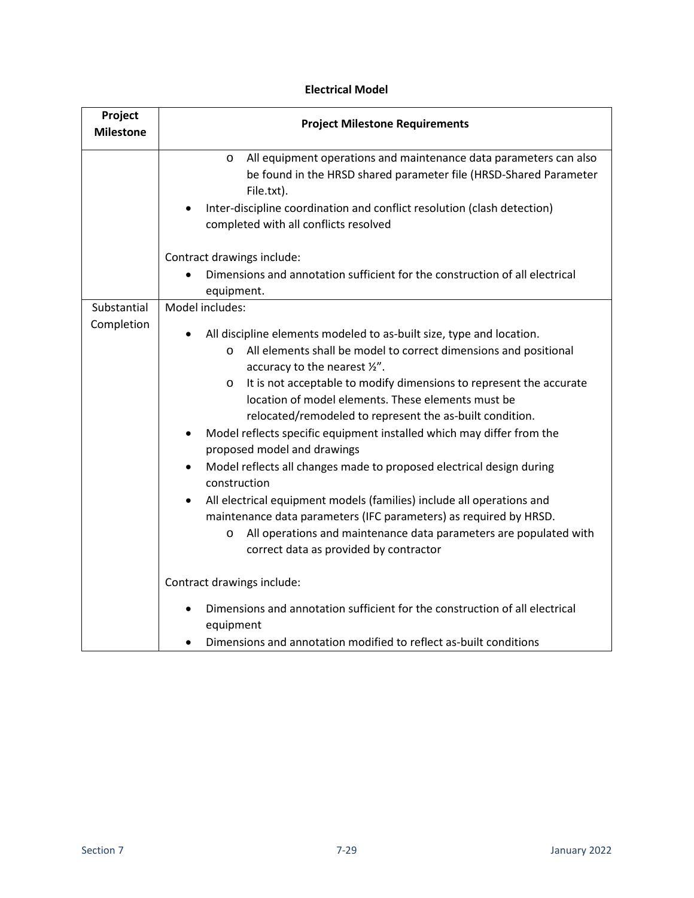<span id="page-28-0"></span>

| Project<br><b>Milestone</b> | <b>Project Milestone Requirements</b>                                                                                                                                                                                                                                                                                                                                                                                                                                                                                                                                                                                                                                                                                                                                                                                                                                                      |  |  |  |
|-----------------------------|--------------------------------------------------------------------------------------------------------------------------------------------------------------------------------------------------------------------------------------------------------------------------------------------------------------------------------------------------------------------------------------------------------------------------------------------------------------------------------------------------------------------------------------------------------------------------------------------------------------------------------------------------------------------------------------------------------------------------------------------------------------------------------------------------------------------------------------------------------------------------------------------|--|--|--|
|                             | All equipment operations and maintenance data parameters can also<br>$\circ$<br>be found in the HRSD shared parameter file (HRSD-Shared Parameter<br>File.txt).<br>Inter-discipline coordination and conflict resolution (clash detection)<br>completed with all conflicts resolved<br>Contract drawings include:<br>Dimensions and annotation sufficient for the construction of all electrical                                                                                                                                                                                                                                                                                                                                                                                                                                                                                           |  |  |  |
|                             | equipment.                                                                                                                                                                                                                                                                                                                                                                                                                                                                                                                                                                                                                                                                                                                                                                                                                                                                                 |  |  |  |
| Substantial<br>Completion   | Model includes:<br>All discipline elements modeled to as-built size, type and location.<br>All elements shall be model to correct dimensions and positional<br>$\circ$<br>accuracy to the nearest 1/2".<br>It is not acceptable to modify dimensions to represent the accurate<br>$\circ$<br>location of model elements. These elements must be<br>relocated/remodeled to represent the as-built condition.<br>Model reflects specific equipment installed which may differ from the<br>proposed model and drawings<br>Model reflects all changes made to proposed electrical design during<br>$\bullet$<br>construction<br>All electrical equipment models (families) include all operations and<br>maintenance data parameters (IFC parameters) as required by HRSD.<br>All operations and maintenance data parameters are populated with<br>O<br>correct data as provided by contractor |  |  |  |
|                             | Contract drawings include:<br>Dimensions and annotation sufficient for the construction of all electrical<br>equipment                                                                                                                                                                                                                                                                                                                                                                                                                                                                                                                                                                                                                                                                                                                                                                     |  |  |  |
|                             | Dimensions and annotation modified to reflect as-built conditions                                                                                                                                                                                                                                                                                                                                                                                                                                                                                                                                                                                                                                                                                                                                                                                                                          |  |  |  |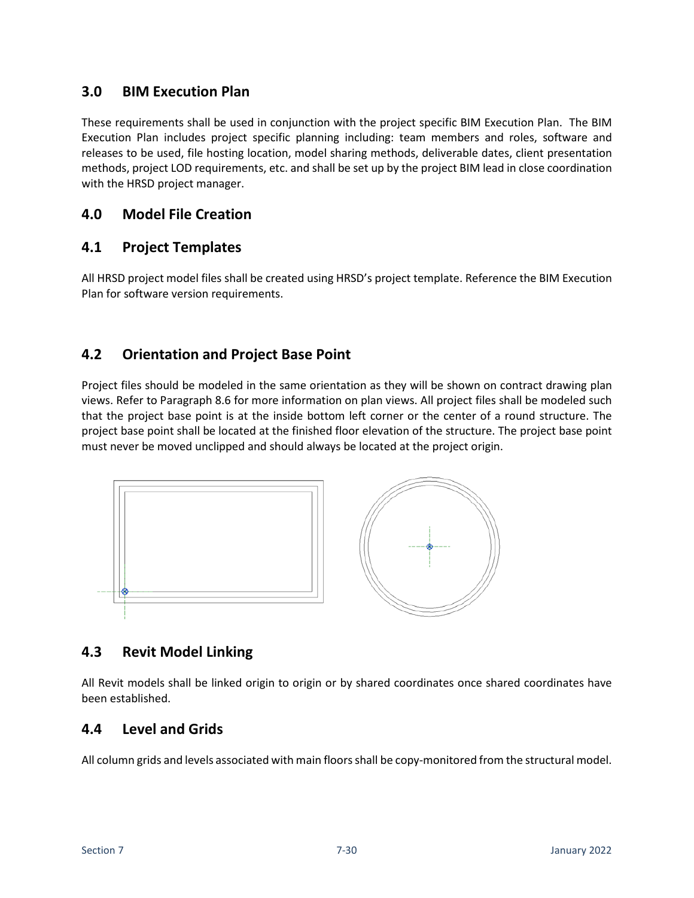### **3.0 BIM Execution Plan**

These requirements shall be used in conjunction with the project specific BIM Execution Plan. The BIM Execution Plan includes project specific planning including: team members and roles, software and releases to be used, file hosting location, model sharing methods, deliverable dates, client presentation methods, project LOD requirements, etc. and shall be set up by the project BIM lead in close coordination with the HRSD project manager.

### <span id="page-29-0"></span>**4.0 Model File Creation**

### <span id="page-29-1"></span>**4.1 Project Templates**

All HRSD project model files shall be created using HRSD's project template. Reference the BIM Execution Plan for software version requirements.

### <span id="page-29-2"></span>**4.2 Orientation and Project Base Point**

Project files should be modeled in the same orientation as they will be shown on contract drawing plan views. Refer to Paragraph 8.6 for more information on plan views. All project files shall be modeled such that the project base point is at the inside bottom left corner or the center of a round structure. The project base point shall be located at the finished floor elevation of the structure. The project base point must never be moved unclipped and should always be located at the project origin.



### <span id="page-29-3"></span>**4.3 Revit Model Linking**

All Revit models shall be linked origin to origin or by shared coordinates once shared coordinates have been established.

### <span id="page-29-4"></span>**4.4 Level and Grids**

All column grids and levels associated with main floors shall be copy-monitored from the structural model.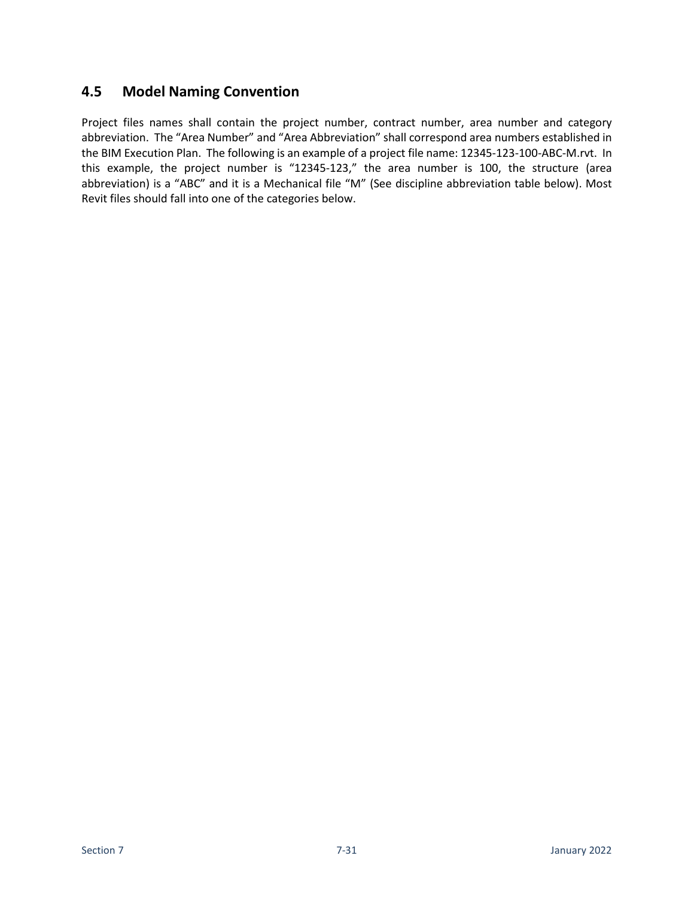### <span id="page-30-0"></span>**4.5 Model Naming Convention**

Project files names shall contain the project number, contract number, area number and category abbreviation. The "Area Number" and "Area Abbreviation" shall correspond area numbers established in the BIM Execution Plan. The following is an example of a project file name: 12345-123-100-ABC-M.rvt. In this example, the project number is "12345-123," the area number is 100, the structure (area abbreviation) is a "ABC" and it is a Mechanical file "M" (See discipline abbreviation table below). Most Revit files should fall into one of the categories below.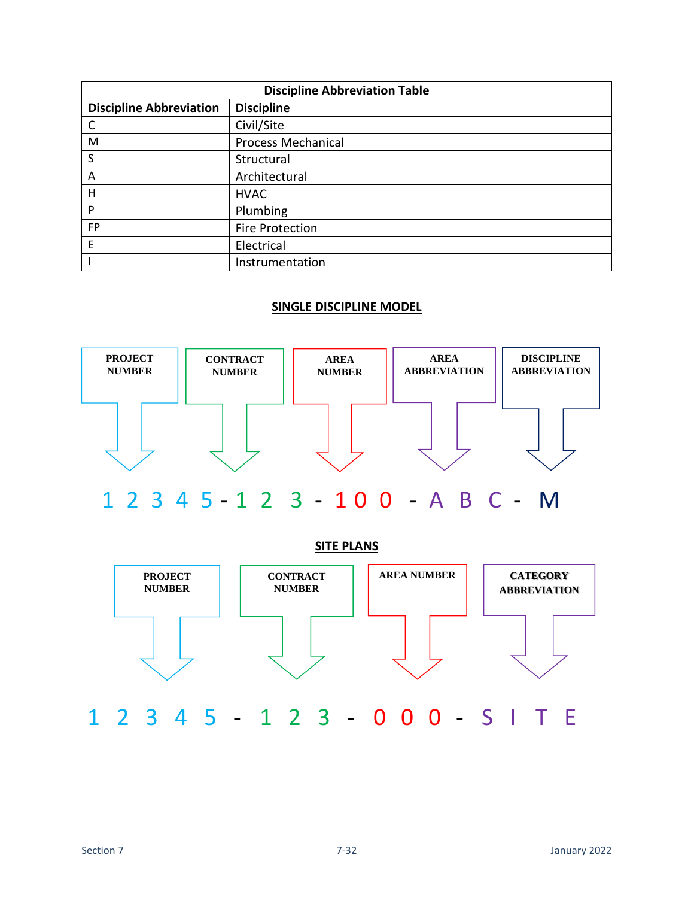| <b>Discipline Abbreviation Table</b> |                           |  |  |
|--------------------------------------|---------------------------|--|--|
| <b>Discipline Abbreviation</b>       | <b>Discipline</b>         |  |  |
| C                                    | Civil/Site                |  |  |
| M                                    | <b>Process Mechanical</b> |  |  |
| S                                    | Structural                |  |  |
| A                                    | Architectural             |  |  |
| Н                                    | <b>HVAC</b>               |  |  |
| P                                    | Plumbing                  |  |  |
| <b>FP</b>                            | Fire Protection           |  |  |
| F                                    | Electrical                |  |  |
|                                      | Instrumentation           |  |  |

#### **SINGLE DISCIPLINE MODEL**



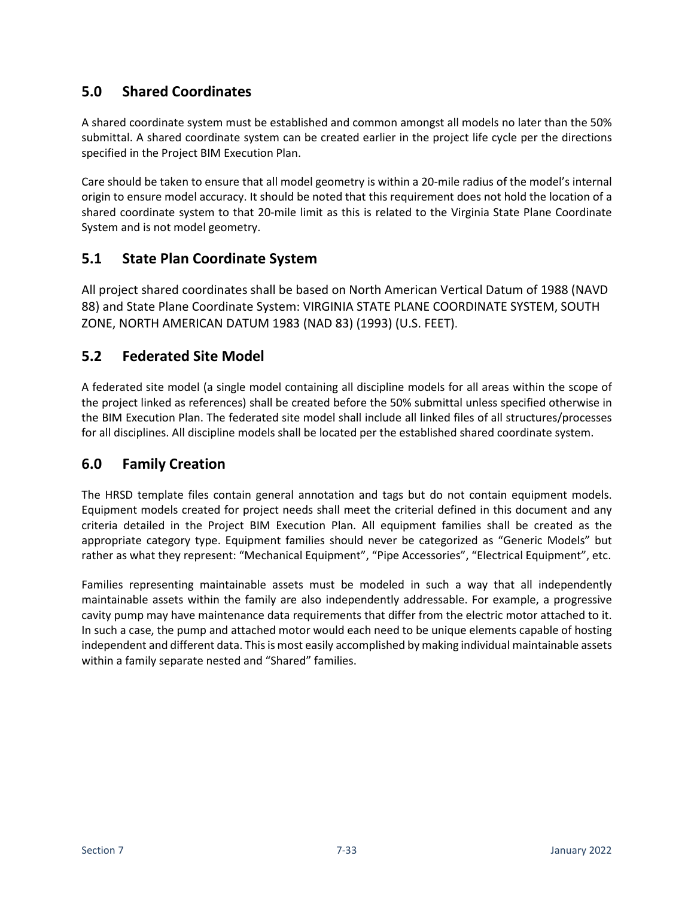# <span id="page-32-0"></span>**5.0 Shared Coordinates**

A shared coordinate system must be established and common amongst all models no later than the 50% submittal. A shared coordinate system can be created earlier in the project life cycle per the directions specified in the Project BIM Execution Plan.

Care should be taken to ensure that all model geometry is within a 20-mile radius of the model's internal origin to ensure model accuracy. It should be noted that this requirement does not hold the location of a shared coordinate system to that 20-mile limit as this is related to the Virginia State Plane Coordinate System and is not model geometry.

### <span id="page-32-1"></span>**5.1 State Plan Coordinate System**

All project shared coordinates shall be based on North American Vertical Datum of 1988 (NAVD 88) and State Plane Coordinate System: VIRGINIA STATE PLANE COORDINATE SYSTEM, SOUTH ZONE, NORTH AMERICAN DATUM 1983 (NAD 83) (1993) (U.S. FEET).

### <span id="page-32-2"></span>**5.2 Federated Site Model**

A federated site model (a single model containing all discipline models for all areas within the scope of the project linked as references) shall be created before the 50% submittal unless specified otherwise in the BIM Execution Plan. The federated site model shall include all linked files of all structures/processes for all disciplines. All discipline models shall be located per the established shared coordinate system.

### <span id="page-32-3"></span>**6.0 Family Creation**

The HRSD template files contain general annotation and tags but do not contain equipment models. Equipment models created for project needs shall meet the criterial defined in this document and any criteria detailed in the Project BIM Execution Plan. All equipment families shall be created as the appropriate category type. Equipment families should never be categorized as "Generic Models" but rather as what they represent: "Mechanical Equipment", "Pipe Accessories", "Electrical Equipment", etc.

Families representing maintainable assets must be modeled in such a way that all independently maintainable assets within the family are also independently addressable. For example, a progressive cavity pump may have maintenance data requirements that differ from the electric motor attached to it. In such a case, the pump and attached motor would each need to be unique elements capable of hosting independent and different data. This is most easily accomplished by making individual maintainable assets within a family separate nested and "Shared" families.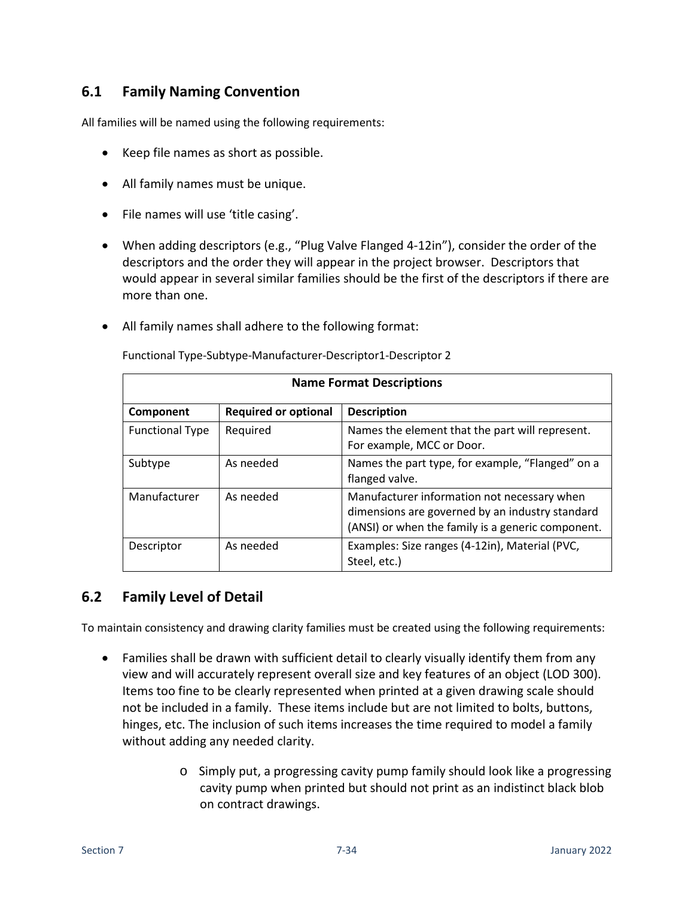### <span id="page-33-0"></span>**6.1 Family Naming Convention**

All families will be named using the following requirements:

- Keep file names as short as possible.
- All family names must be unique.
- File names will use 'title casing'.
- When adding descriptors (e.g., "Plug Valve Flanged 4-12in"), consider the order of the descriptors and the order they will appear in the project browser. Descriptors that would appear in several similar families should be the first of the descriptors if there are more than one.
- All family names shall adhere to the following format:

| <b>Name Format Descriptions</b> |                             |                                                                                                                                                     |  |
|---------------------------------|-----------------------------|-----------------------------------------------------------------------------------------------------------------------------------------------------|--|
| Component                       | <b>Required or optional</b> | <b>Description</b>                                                                                                                                  |  |
| <b>Functional Type</b>          | Required                    | Names the element that the part will represent.<br>For example, MCC or Door.                                                                        |  |
| Subtype                         | As needed                   | Names the part type, for example, "Flanged" on a<br>flanged valve.                                                                                  |  |
| Manufacturer                    | As needed                   | Manufacturer information not necessary when<br>dimensions are governed by an industry standard<br>(ANSI) or when the family is a generic component. |  |
| Descriptor                      | As needed                   | Examples: Size ranges (4-12in), Material (PVC,<br>Steel, etc.)                                                                                      |  |

Functional Type-Subtype-Manufacturer-Descriptor1-Descriptor 2

### <span id="page-33-1"></span>**6.2 Family Level of Detail**

To maintain consistency and drawing clarity families must be created using the following requirements:

- Families shall be drawn with sufficient detail to clearly visually identify them from any view and will accurately represent overall size and key features of an object (LOD 300). Items too fine to be clearly represented when printed at a given drawing scale should not be included in a family. These items include but are not limited to bolts, buttons, hinges, etc. The inclusion of such items increases the time required to model a family without adding any needed clarity.
	- o Simply put, a progressing cavity pump family should look like a progressing cavity pump when printed but should not print as an indistinct black blob on contract drawings.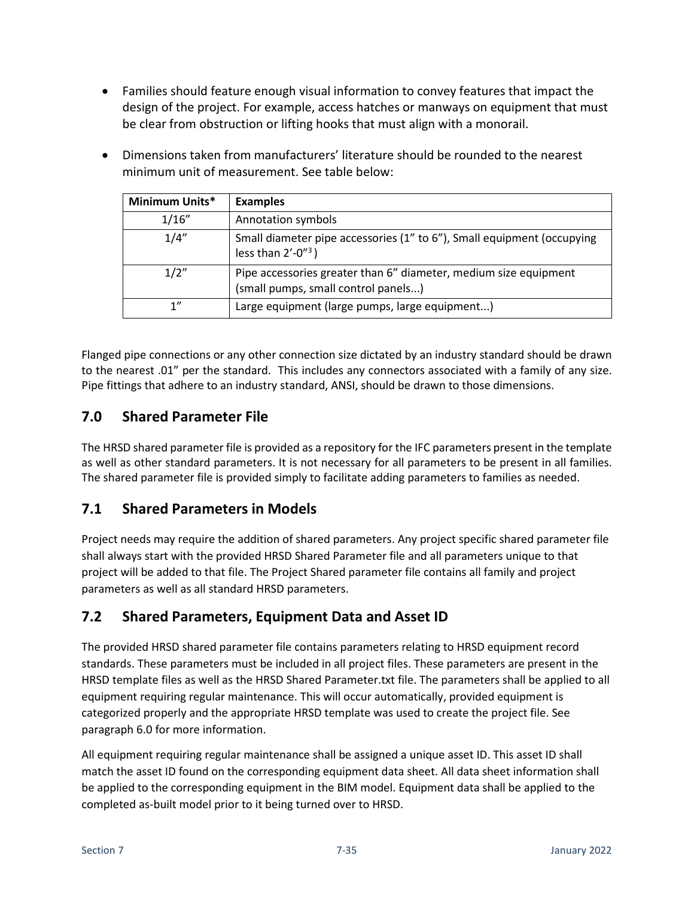• Families should feature enough visual information to convey features that impact the design of the project. For example, access hatches or manways on equipment that must be clear from obstruction or lifting hooks that must align with a monorail.

| Minimum Units* | <b>Examples</b>                                                                                         |
|----------------|---------------------------------------------------------------------------------------------------------|
| 1/16"          | Annotation symbols                                                                                      |
| 1/4"           | Small diameter pipe accessories (1" to 6"), Small equipment (occupying<br>less than $2'$ -0" $3$ )      |
| 1/2"           | Pipe accessories greater than 6" diameter, medium size equipment<br>(small pumps, small control panels) |
| 1"             | Large equipment (large pumps, large equipment)                                                          |

• Dimensions taken from manufacturers' literature should be rounded to the nearest minimum unit of measurement. See table below:

Flanged pipe connections or any other connection size dictated by an industry standard should be drawn to the nearest .01" per the standard. This includes any connectors associated with a family of any size. Pipe fittings that adhere to an industry standard, ANSI, should be drawn to those dimensions.

### <span id="page-34-0"></span>**7.0 Shared Parameter File**

The HRSD shared parameter file is provided as a repository for the IFC parameters present in the template as well as other standard parameters. It is not necessary for all parameters to be present in all families. The shared parameter file is provided simply to facilitate adding parameters to families as needed.

### <span id="page-34-1"></span>**7.1 Shared Parameters in Models**

Project needs may require the addition of shared parameters. Any project specific shared parameter file shall always start with the provided HRSD Shared Parameter file and all parameters unique to that project will be added to that file. The Project Shared parameter file contains all family and project parameters as well as all standard HRSD parameters.

# <span id="page-34-2"></span>**7.2 Shared Parameters, Equipment Data and Asset ID**

The provided HRSD shared parameter file contains parameters relating to HRSD equipment record standards. These parameters must be included in all project files. These parameters are present in the HRSD template files as well as the HRSD Shared Parameter.txt file. The parameters shall be applied to all equipment requiring regular maintenance. This will occur automatically, provided equipment is categorized properly and the appropriate HRSD template was used to create the project file. See paragraph 6.0 for more information.

All equipment requiring regular maintenance shall be assigned a unique asset ID. This asset ID shall match the asset ID found on the corresponding equipment data sheet. All data sheet information shall be applied to the corresponding equipment in the BIM model. Equipment data shall be applied to the completed as-built model prior to it being turned over to HRSD.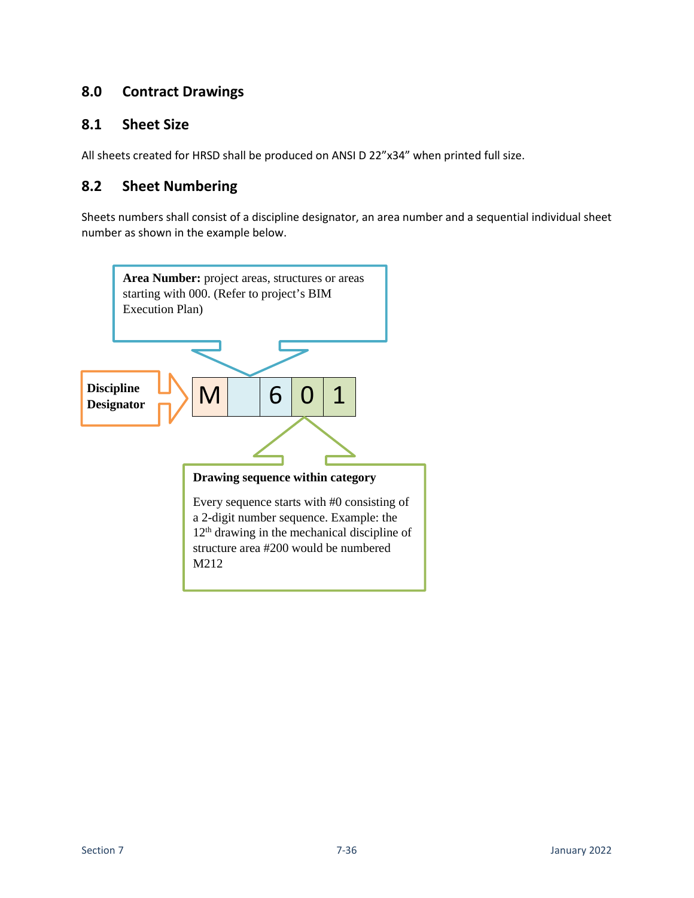### <span id="page-35-0"></span>**8.0 Contract Drawings**

### <span id="page-35-1"></span>**8.1 Sheet Size**

All sheets created for HRSD shall be produced on ANSI D 22"x34" when printed full size.

### <span id="page-35-2"></span>**8.2 Sheet Numbering**

Sheets numbers shall consist of a discipline designator, an area number and a sequential individual sheet number as shown in the example below.

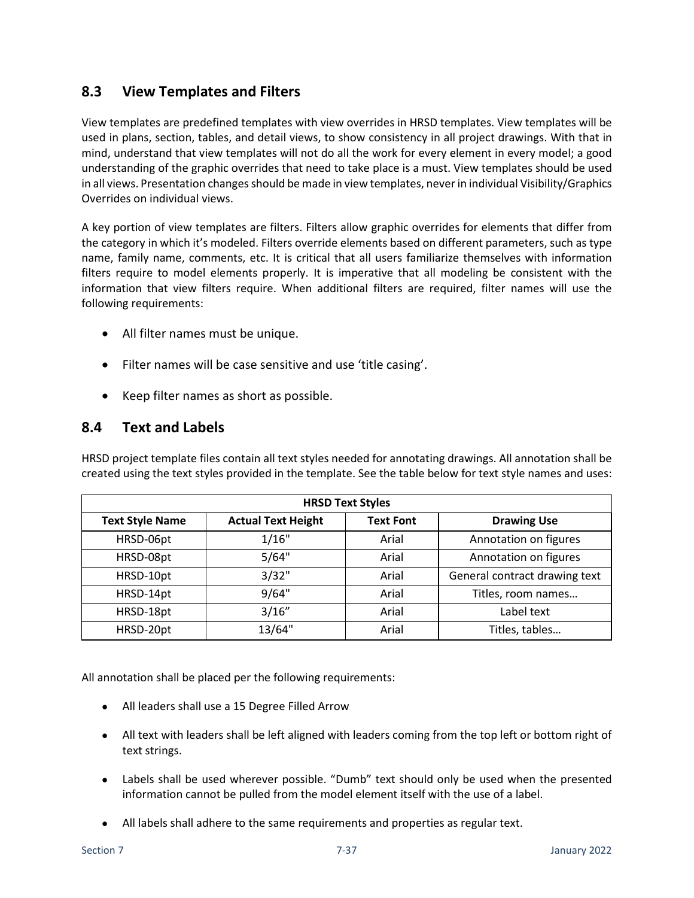### <span id="page-36-0"></span>**8.3 View Templates and Filters**

View templates are predefined templates with view overrides in HRSD templates. View templates will be used in plans, section, tables, and detail views, to show consistency in all project drawings. With that in mind, understand that view templates will not do all the work for every element in every model; a good understanding of the graphic overrides that need to take place is a must. View templates should be used in all views. Presentation changes should be made in view templates, never in individual Visibility/Graphics Overrides on individual views.

A key portion of view templates are filters. Filters allow graphic overrides for elements that differ from the category in which it's modeled. Filters override elements based on different parameters, such as type name, family name, comments, etc. It is critical that all users familiarize themselves with information filters require to model elements properly. It is imperative that all modeling be consistent with the information that view filters require. When additional filters are required, filter names will use the following requirements:

- All filter names must be unique.
- Filter names will be case sensitive and use 'title casing'.
- Keep filter names as short as possible.

#### <span id="page-36-1"></span>**8.4 Text and Labels**

HRSD project template files contain all text styles needed for annotating drawings. All annotation shall be created using the text styles provided in the template. See the table below for text style names and uses:

| <b>HRSD Text Styles</b> |                           |                  |                               |
|-------------------------|---------------------------|------------------|-------------------------------|
| <b>Text Style Name</b>  | <b>Actual Text Height</b> | <b>Text Font</b> | <b>Drawing Use</b>            |
| HRSD-06pt               | 1/16"                     | Arial            | Annotation on figures         |
| HRSD-08pt               | 5/64"                     | Arial            | Annotation on figures         |
| HRSD-10pt               | 3/32"                     | Arial            | General contract drawing text |
| HRSD-14pt               | 9/64"                     | Arial            | Titles, room names            |
| HRSD-18pt               | 3/16"                     | Arial            | Label text                    |
| HRSD-20pt               | 13/64"                    | Arial            | Titles, tables                |

All annotation shall be placed per the following requirements:

- All leaders shall use a 15 Degree Filled Arrow
- All text with leaders shall be left aligned with leaders coming from the top left or bottom right of text strings.
- Labels shall be used wherever possible. "Dumb" text should only be used when the presented information cannot be pulled from the model element itself with the use of a label.
- All labels shall adhere to the same requirements and properties as regular text.